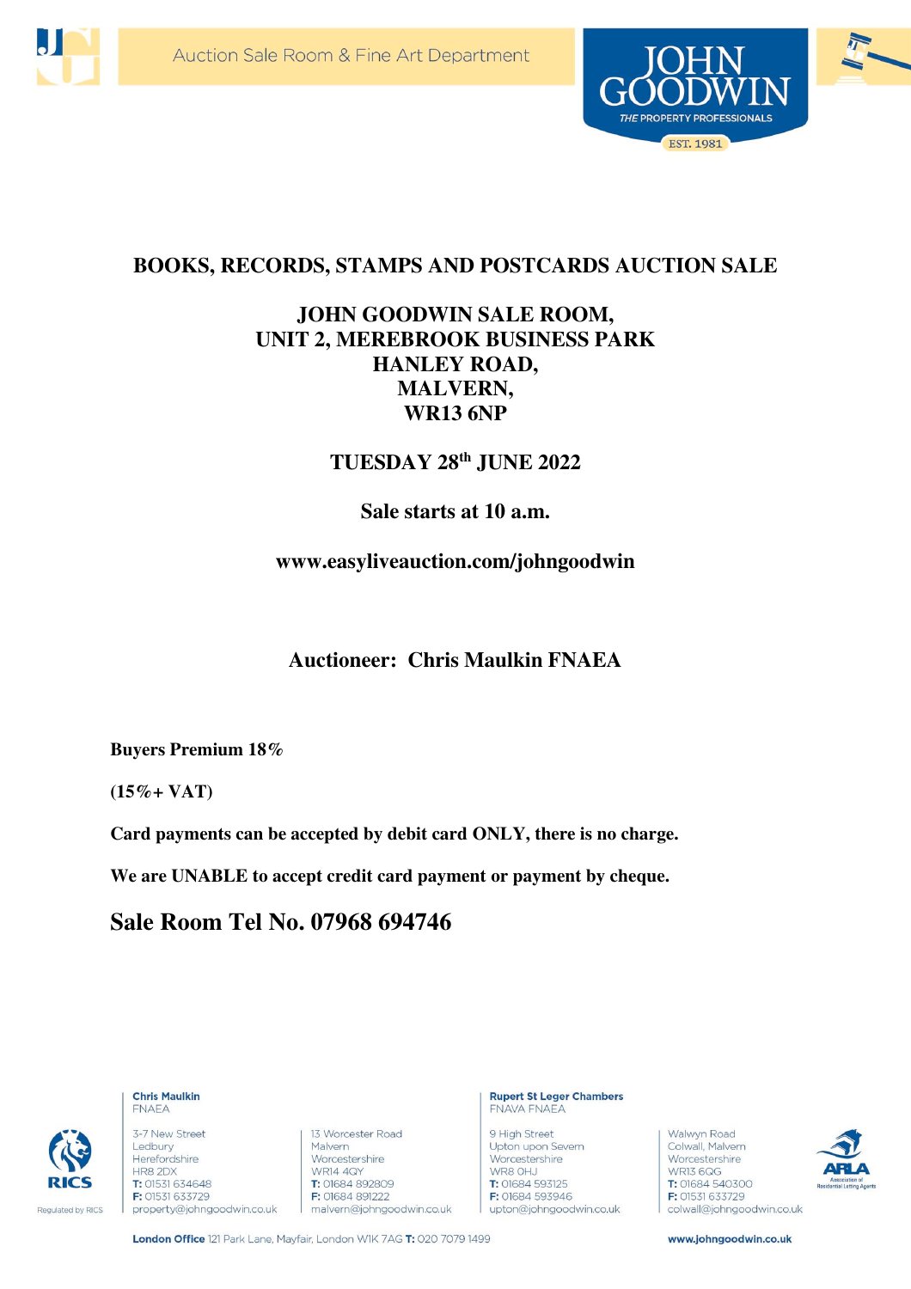



# **BOOKS, RECORDS, STAMPS AND POSTCARDS AUCTION SALE**

## **JOHN GOODWIN SALE ROOM, UNIT 2, MEREBROOK BUSINESS PARK HANLEY ROAD, MALVERN, WR13 6NP**

## **TUESDAY 28th JUNE 2022**

## **Sale starts at 10 a.m.**

**www.easyliveauction.com/johngoodwin** 

**Auctioneer: Chris Maulkin FNAEA** 

**Buyers Premium 18%** 

**(15%+ VAT)** 

**Card payments can be accepted by debit card ONLY, there is no charge.** 

**We are UNABLE to accept credit card payment or payment by cheque.** 

**Sale Room Tel No. 07968 694746** 



**Chris Maulkin FNAEA** 

3-7 New Street Ledbury Herefordshire HR8 2DX T: 01531 634648 F: 01531 633729 property@johngoodwin.co.uk

13 Worcester Road Malvern Worcestershire **WR14 4QY** T: 01684 892809 F: 01684 891222 malvern@johngoodwin.co.uk

London Office 121 Park Lane, Mayfair, London W1K 7AG T: 020 7079 1499

**Rupert St Leger Chambers FNAVA FNAEA** 

9 High Street Upton upon Severn Worcestershire WR8 OHJ T: 01684 593125 F: 01684 593946 upton@johngoodwin.co.uk

Walwyn Road Colwall, Malvern Worcestershire **WR13 6QG** T: 01684 540300 F: 01531 633729 colwall@johngoodwin.co.uk



www.johngoodwin.co.uk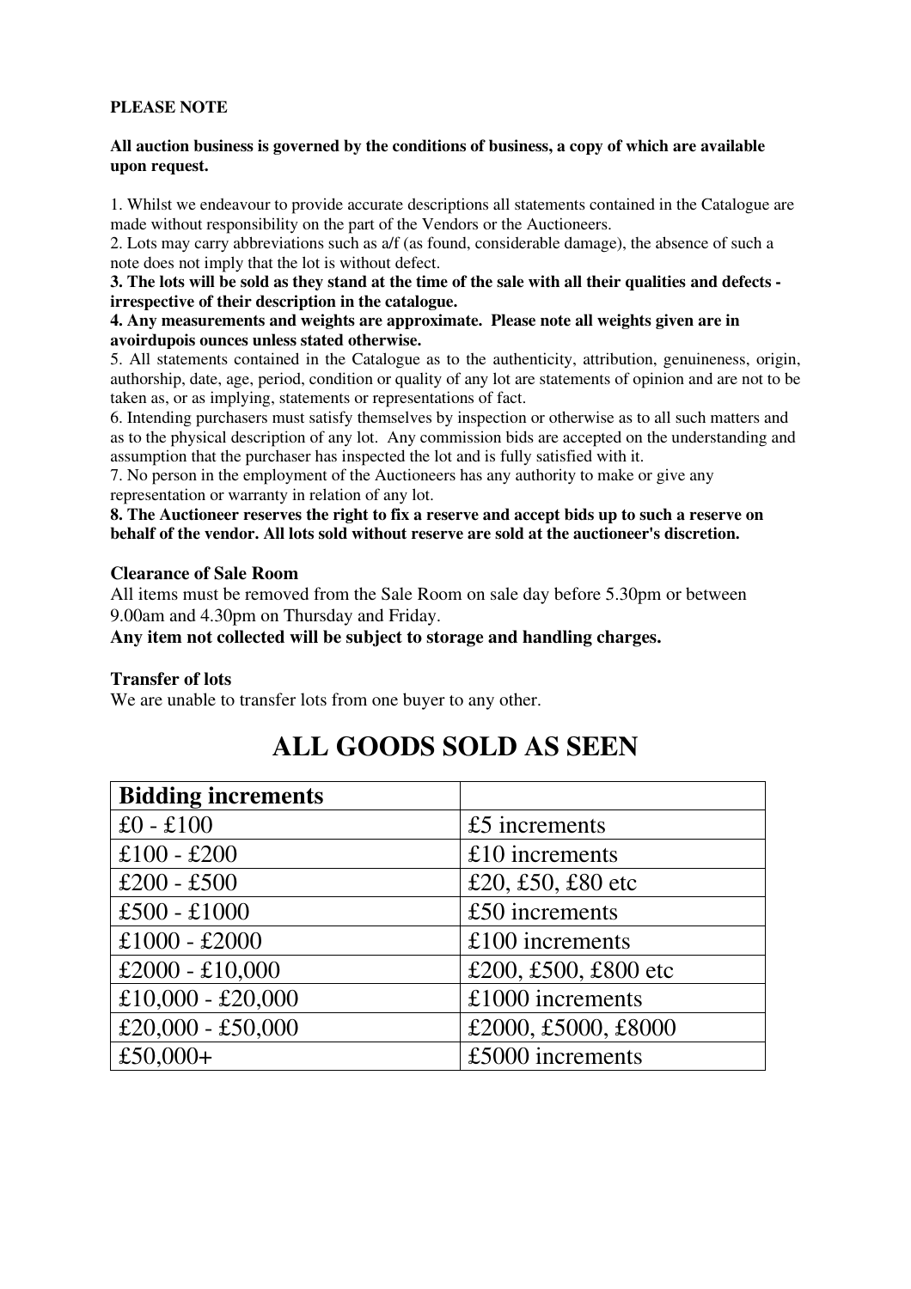#### **PLEASE NOTE**

#### **All auction business is governed by the conditions of business, a copy of which are available upon request.**

1. Whilst we endeavour to provide accurate descriptions all statements contained in the Catalogue are made without responsibility on the part of the Vendors or the Auctioneers.

2. Lots may carry abbreviations such as a/f (as found, considerable damage), the absence of such a note does not imply that the lot is without defect.

#### **3. The lots will be sold as they stand at the time of the sale with all their qualities and defects irrespective of their description in the catalogue.**

#### **4. Any measurements and weights are approximate. Please note all weights given are in avoirdupois ounces unless stated otherwise.**

5. All statements contained in the Catalogue as to the authenticity, attribution, genuineness, origin, authorship, date, age, period, condition or quality of any lot are statements of opinion and are not to be taken as, or as implying, statements or representations of fact.

6. Intending purchasers must satisfy themselves by inspection or otherwise as to all such matters and as to the physical description of any lot. Any commission bids are accepted on the understanding and assumption that the purchaser has inspected the lot and is fully satisfied with it.

7. No person in the employment of the Auctioneers has any authority to make or give any representation or warranty in relation of any lot.

**8. The Auctioneer reserves the right to fix a reserve and accept bids up to such a reserve on behalf of the vendor. All lots sold without reserve are sold at the auctioneer's discretion.**

#### **Clearance of Sale Room**

All items must be removed from the Sale Room on sale day before 5.30pm or between 9.00am and 4.30pm on Thursday and Friday.

**Any item not collected will be subject to storage and handling charges.**

#### **Transfer of lots**

We are unable to transfer lots from one buyer to any other.

| <b>Bidding increments</b> |                      |
|---------------------------|----------------------|
| £0 - £100                 | $£5$ increments      |
| $£100 - £200$             | £10 increments       |
| £200 - £500               | £20, £50, £80 etc    |
| $£500 - £1000$            | $£50$ increments     |
| $£1000 - £2000$           | $£100$ increments    |
| £2000 - £10,000           | £200, £500, £800 etc |
| £10,000 - £20,000         | $£1000$ increments   |
| £20,000 - £50,000         | £2000, £5000, £8000  |
| £50,000+                  | £5000 increments     |

# **ALL GOODS SOLD AS SEEN**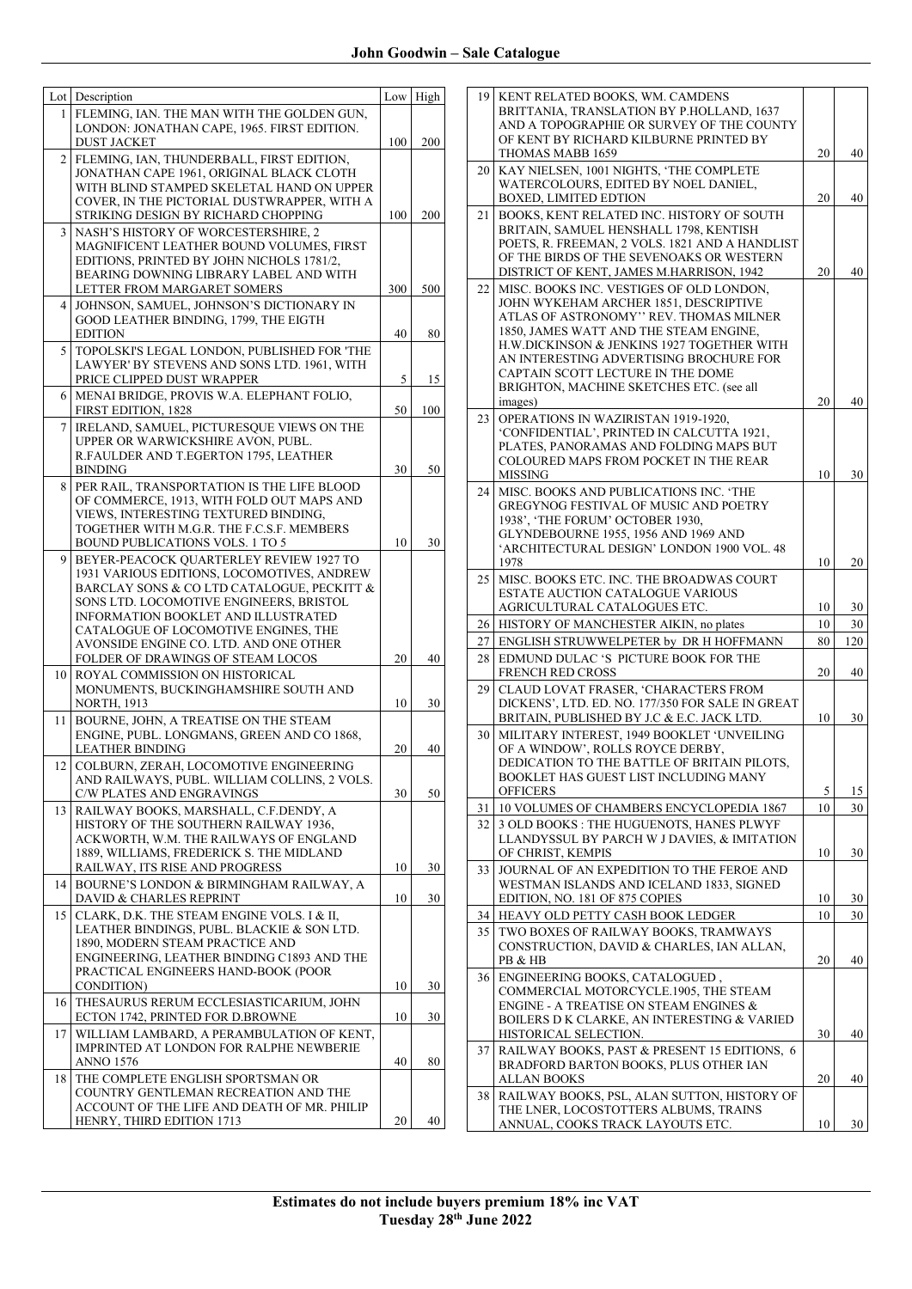|                | Lot Description                                                                       | Low | High |
|----------------|---------------------------------------------------------------------------------------|-----|------|
| 1              | FLEMING, IAN. THE MAN WITH THE GOLDEN GUN,                                            |     |      |
|                | LONDON: JONATHAN CAPE, 1965. FIRST EDITION.                                           |     |      |
| $\overline{2}$ | <b>DUST JACKET</b><br>FLEMING, IAN, THUNDERBALL, FIRST EDITION,                       | 100 | 200  |
|                | JONATHAN CAPE 1961, ORIGINAL BLACK CLOTH                                              |     |      |
|                | WITH BLIND STAMPED SKELETAL HAND ON UPPER                                             |     |      |
|                | COVER, IN THE PICTORIAL DUSTWRAPPER, WITH A                                           |     |      |
| 3              | STRIKING DESIGN BY RICHARD CHOPPING<br>NASH'S HISTORY OF WORCESTERSHIRE, 2            | 100 | 200  |
|                | MAGNIFICENT LEATHER BOUND VOLUMES, FIRST                                              |     |      |
|                | EDITIONS, PRINTED BY JOHN NICHOLS 1781/2,                                             |     |      |
|                | BEARING DOWNING LIBRARY LABEL AND WITH                                                |     |      |
|                | LETTER FROM MARGARET SOMERS                                                           | 300 | 500  |
| 4              | JOHNSON, SAMUEL, JOHNSON'S DICTIONARY IN<br>GOOD LEATHER BINDING, 1799, THE EIGTH     |     |      |
|                | <b>EDITION</b>                                                                        | 40  | 80   |
| 5              | TOPOLSKI'S LEGAL LONDON, PUBLISHED FOR 'THE                                           |     |      |
|                | LAWYER' BY STEVENS AND SONS LTD. 1961, WITH                                           |     |      |
|                | PRICE CLIPPED DUST WRAPPER                                                            | 5   | 15   |
| 6              | MENAI BRIDGE, PROVIS W.A. ELEPHANT FOLIO,<br><b>FIRST EDITION, 1828</b>               | 50  | 100  |
| 7              | IRELAND, SAMUEL, PICTURESQUE VIEWS ON THE                                             |     |      |
|                | UPPER OR WARWICKSHIRE AVON, PUBL.                                                     |     |      |
|                | R.FAULDER AND T.EGERTON 1795, LEATHER                                                 |     |      |
|                | <b>BINDING</b><br>PER RAIL, TRANSPORTATION IS THE LIFE BLOOD                          | 30  | 50   |
| 8              | OF COMMERCE, 1913, WITH FOLD OUT MAPS AND                                             |     |      |
|                | VIEWS, INTERESTING TEXTURED BINDING,                                                  |     |      |
|                | TOGETHER WITH M.G.R. THE F.C.S.F. MEMBERS                                             |     |      |
|                | BOUND PUBLICATIONS VOLS. 1 TO 5                                                       | 10  | 30   |
| 9              | BEYER-PEACOCK QUARTERLEY REVIEW 1927 TO<br>1931 VARIOUS EDITIONS, LOCOMOTIVES, ANDREW |     |      |
|                | BARCLAY SONS & CO LTD CATALOGUE, PECKITT &                                            |     |      |
|                | SONS LTD. LOCOMOTIVE ENGINEERS, BRISTOL                                               |     |      |
|                | INFORMATION BOOKLET AND ILLUSTRATED                                                   |     |      |
|                | CATALOGUE OF LOCOMOTIVE ENGINES, THE<br>AVONSIDE ENGINE CO. LTD. AND ONE OTHER        |     |      |
|                | FOLDER OF DRAWINGS OF STEAM LOCOS                                                     | 20  | 40   |
| 10             | ROYAL COMMISSION ON HISTORICAL                                                        |     |      |
|                | MONUMENTS, BUCKINGHAMSHIRE SOUTH AND                                                  |     |      |
| 11             | <b>NORTH, 1913</b><br>BOURNE, JOHN, A TREATISE ON THE STEAM                           | 10  | 30   |
|                | ENGINE, PUBL. LONGMANS, GREEN AND CO 1868,                                            |     |      |
|                | <b>LEATHER BINDING</b>                                                                | 20  | 40   |
| 12             | COLBURN. ZERAH. LOCOMOTIVE ENGINEERING                                                |     |      |
|                | AND RAILWAYS, PUBL. WILLIAM COLLINS, 2 VOLS.                                          |     |      |
|                | C/W PLATES AND ENGRAVINGS<br>RAILWAY BOOKS, MARSHALL, C.F.DENDY, A                    | 30  | 50   |
| 13             | HISTORY OF THE SOUTHERN RAILWAY 1936,                                                 |     |      |
|                | ACKWORTH, W.M. THE RAILWAYS OF ENGLAND                                                |     |      |
|                | 1889, WILLIAMS, FREDERICK S. THE MIDLAND                                              |     |      |
| 14             | RAILWAY, ITS RISE AND PROGRESS<br>BOURNE'S LONDON & BIRMINGHAM RAILWAY, A             | 10  | 30   |
|                | DAVID & CHARLES REPRINT                                                               | 10  | 30   |
| 15             | CLARK, D.K. THE STEAM ENGINE VOLS. I & II,                                            |     |      |
|                | LEATHER BINDINGS, PUBL. BLACKIE & SON LTD.                                            |     |      |
|                | 1890, MODERN STEAM PRACTICE AND                                                       |     |      |
|                | ENGINEERING, LEATHER BINDING C1893 AND THE<br>PRACTICAL ENGINEERS HAND-BOOK (POOR     |     |      |
|                | CONDITION)                                                                            | 10  | 30   |
| 16             | THESAURUS RERUM ECCLESIASTICARIUM, JOHN                                               |     |      |
|                | ECTON 1742, PRINTED FOR D.BROWNE                                                      | 10  | 30   |
| 17             | WILLIAM LAMBARD, A PERAMBULATION OF KENT,                                             |     |      |
|                | IMPRINTED AT LONDON FOR RALPHE NEWBERIE<br><b>ANNO 1576</b>                           | 40  | 80   |
| 18             | THE COMPLETE ENGLISH SPORTSMAN OR                                                     |     |      |
|                | COUNTRY GENTLEMAN RECREATION AND THE                                                  |     |      |
|                | ACCOUNT OF THE LIFE AND DEATH OF MR. PHILIP                                           |     |      |
|                | HENRY, THIRD EDITION 1713                                                             | 20  | 40   |

| 19 |                                                                                       |          |          |
|----|---------------------------------------------------------------------------------------|----------|----------|
|    | KENT RELATED BOOKS, WM. CAMDENS<br>BRITTANIA, TRANSLATION BY P.HOLLAND, 1637          |          |          |
|    | AND A TOPOGRAPHIE OR SURVEY OF THE COUNTY                                             |          |          |
|    | OF KENT BY RICHARD KILBURNE PRINTED BY                                                |          |          |
| 20 | THOMAS MABB 1659<br>KAY NIELSEN, 1001 NIGHTS, 'THE COMPLETE                           | 20       | 40       |
|    | WATERCOLOURS, EDITED BY NOEL DANIEL,                                                  |          |          |
|    | BOXED, LIMITED EDTION                                                                 | 20       | 40       |
| 21 | BOOKS, KENT RELATED INC. HISTORY OF SOUTH                                             |          |          |
|    | BRITAIN, SAMUEL HENSHALL 1798, KENTISH                                                |          |          |
|    | POETS, R. FREEMAN, 2 VOLS. 1821 AND A HANDLIST                                        |          |          |
|    | OF THE BIRDS OF THE SEVENOAKS OR WESTERN<br>DISTRICT OF KENT, JAMES M.HARRISON, 1942  | 20       | 40       |
| 22 | MISC. BOOKS INC. VESTIGES OF OLD LONDON,                                              |          |          |
|    | JOHN WYKEHAM ARCHER 1851, DESCRIPTIVE                                                 |          |          |
|    | ATLAS OF ASTRONOMY'' REV. THOMAS MILNER                                               |          |          |
|    | 1850, JAMES WATT AND THE STEAM ENGINE,                                                |          |          |
|    | H.W.DICKINSON & JENKINS 1927 TOGETHER WITH                                            |          |          |
|    | AN INTERESTING ADVERTISING BROCHURE FOR<br>CAPTAIN SCOTT LECTURE IN THE DOME          |          |          |
|    | BRIGHTON, MACHINE SKETCHES ETC. (see all                                              |          |          |
|    | images)                                                                               | 20       | 40       |
| 23 | OPERATIONS IN WAZIRISTAN 1919-1920,                                                   |          |          |
|    | 'CONFIDENTIAL', PRINTED IN CALCUTTA 1921,                                             |          |          |
|    | PLATES, PANORAMAS AND FOLDING MAPS BUT<br>COLOURED MAPS FROM POCKET IN THE REAR       |          |          |
|    | <b>MISSING</b>                                                                        | 10       | 30       |
| 24 | MISC. BOOKS AND PUBLICATIONS INC. 'THE                                                |          |          |
|    | <b>GREGYNOG FESTIVAL OF MUSIC AND POETRY</b>                                          |          |          |
|    | 1938', 'THE FORUM' OCTOBER 1930,                                                      |          |          |
|    | GLYNDEBOURNE 1955, 1956 AND 1969 AND                                                  |          |          |
|    | 'ARCHITECTURAL DESIGN' LONDON 1900 VOL. 48<br>1978                                    | 10       | 20       |
| 25 | MISC. BOOKS ETC. INC. THE BROADWAS COURT                                              |          |          |
|    | <b>ESTATE AUCTION CATALOGUE VARIOUS</b>                                               |          |          |
|    | AGRICULTURAL CATALOGUES ETC.                                                          | 10       | 30       |
| 26 | HISTORY OF MANCHESTER AIKIN, no plates                                                | 10       | 30       |
| 27 | ENGLISH STRUWWELPETER by DR H HOFFMANN                                                | 80       | 120      |
| 28 | EDMUND DULAC 'S PICTURE BOOK FOR THE<br><b>FRENCH RED CROSS</b>                       | 20       | 40       |
| 29 | CLAUD LOVAT FRASER, 'CHARACTERS FROM                                                  |          |          |
|    | DICKENS', LTD. ED. NO. 177/350 FOR SALE IN GREAT                                      |          |          |
|    |                                                                                       |          |          |
|    | BRITAIN, PUBLISHED BY J.C & E.C. JACK LTD.                                            | 10       | 30       |
| 30 | MILITARY INTEREST, 1949 BOOKLET 'UNVEILING                                            |          |          |
|    | OF A WINDOW', ROLLS ROYCE DERBY,                                                      |          |          |
|    | DEDICATION TO THE BATTLE OF BRITAIN PILOTS,                                           |          |          |
|    | BOOKLET HAS GUEST LIST INCLUDING MANY                                                 | 5        | 15       |
| 31 | <b>OFFICERS</b><br>10 VOLUMES OF CHAMBERS ENCYCLOPEDIA 1867                           | 10       | 30       |
| 32 | 3 OLD BOOKS: THE HUGUENOTS, HANES PLWYF                                               |          |          |
|    | LLANDYSSUL BY PARCH W J DAVIES, & IMITATION                                           |          |          |
|    | OF CHRIST, KEMPIS                                                                     | 10       | 30       |
| 33 | JOURNAL OF AN EXPEDITION TO THE FEROE AND                                             |          |          |
|    | WESTMAN ISLANDS AND ICELAND 1833, SIGNED                                              |          |          |
| 34 | EDITION, NO. 181 OF 875 COPIES<br>HEAVY OLD PETTY CASH BOOK LEDGER                    | 10<br>10 | 30<br>30 |
| 35 | TWO BOXES OF RAILWAY BOOKS, TRAMWAYS                                                  |          |          |
|    | CONSTRUCTION, DAVID & CHARLES, IAN ALLAN,                                             |          |          |
|    | PB & HB                                                                               | 20       | 40       |
| 36 | ENGINEERING BOOKS, CATALOGUED,                                                        |          |          |
|    | COMMERCIAL MOTORCYCLE.1905, THE STEAM                                                 |          |          |
|    | ENGINE - A TREATISE ON STEAM ENGINES &<br>BOILERS D K CLARKE, AN INTERESTING & VARIED |          |          |
|    | HISTORICAL SELECTION.                                                                 | 30       | 40       |
| 37 | RAILWAY BOOKS, PAST & PRESENT 15 EDITIONS, 6                                          |          |          |
|    | BRADFORD BARTON BOOKS, PLUS OTHER IAN                                                 |          |          |
|    | <b>ALLAN BOOKS</b>                                                                    | 20       | 40       |
| 38 | RAILWAY BOOKS, PSL, ALAN SUTTON, HISTORY OF                                           |          |          |
|    | THE LNER, LOCOSTOTTERS ALBUMS, TRAINS<br>ANNUAL, COOKS TRACK LAYOUTS ETC.             | 10       | 30       |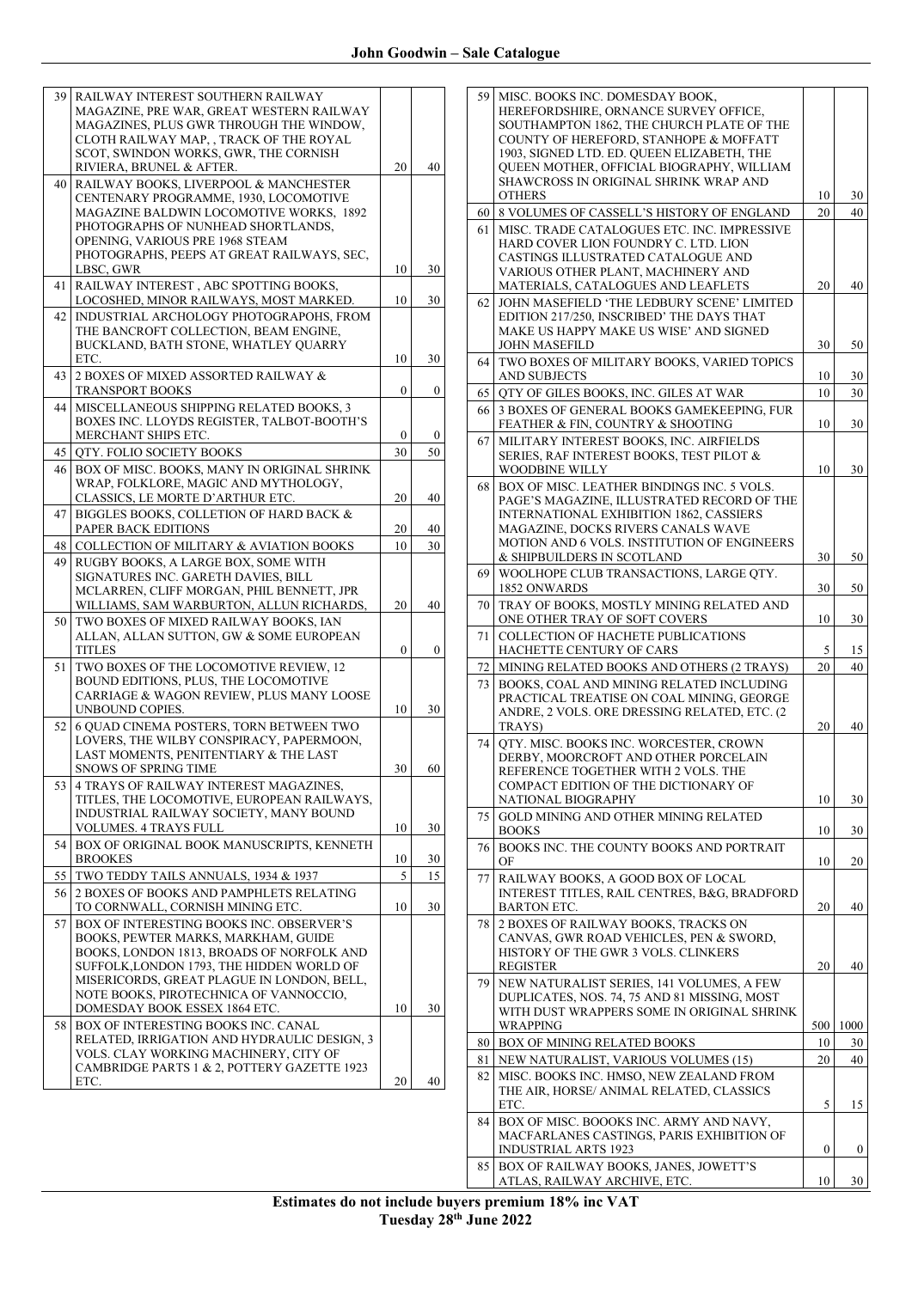| 39 | RAILWAY INTEREST SOUTHERN RAILWAY<br>MAGAZINE, PRE WAR, GREAT WESTERN RAILWAY             |    |                  |
|----|-------------------------------------------------------------------------------------------|----|------------------|
|    | MAGAZINES, PLUS GWR THROUGH THE WINDOW.                                                   |    |                  |
|    | CLOTH RAILWAY MAP, , TRACK OF THE ROYAL                                                   |    |                  |
|    | SCOT, SWINDON WORKS, GWR, THE CORNISH<br>RIVIERA, BRUNEL & AFTER.                         | 20 | 40               |
| 40 | RAILWAY BOOKS, LIVERPOOL & MANCHESTER                                                     |    |                  |
|    | CENTENARY PROGRAMME, 1930, LOCOMOTIVE<br>MAGAZINE BALDWIN LOCOMOTIVE WORKS, 1892          |    |                  |
|    | PHOTOGRAPHS OF NUNHEAD SHORTLANDS,                                                        |    |                  |
|    | OPENING, VARIOUS PRE 1968 STEAM                                                           |    |                  |
|    | PHOTOGRAPHS, PEEPS AT GREAT RAILWAYS, SEC,<br>LBSC, GWR                                   | 10 | 30               |
| 41 | RAILWAY INTEREST, ABC SPOTTING BOOKS,                                                     |    |                  |
|    | LOCOSHED, MINOR RAILWAYS, MOST MARKED.                                                    | 10 | 30               |
| 42 | INDUSTRIAL ARCHOLOGY PHOTOGRAPOHS, FROM<br>THE BANCROFT COLLECTION, BEAM ENGINE,          |    |                  |
|    | BUCKLAND, BATH STONE, WHATLEY QUARRY                                                      |    |                  |
| 43 | ETC.<br>2 BOXES OF MIXED ASSORTED RAILWAY &                                               | 10 | 30               |
|    | <b>TRANSPORT BOOKS</b>                                                                    | 0  | 0                |
| 44 | MISCELLANEOUS SHIPPING RELATED BOOKS, 3                                                   |    |                  |
|    | BOXES INC. LLOYDS REGISTER, TALBOT-BOOTH'S<br>MERCHANT SHIPS ETC.                         | 0  | $\boldsymbol{0}$ |
| 45 | QTY. FOLIO SOCIETY BOOKS                                                                  | 30 | 50               |
| 46 | BOX OF MISC. BOOKS, MANY IN ORIGINAL SHRINK                                               |    |                  |
|    | WRAP, FOLKLORE, MAGIC AND MYTHOLOGY,<br>CLASSICS, LE MORTE D'ARTHUR ETC.                  | 20 | 40               |
| 47 | BIGGLES BOOKS, COLLETION OF HARD BACK &                                                   |    |                  |
|    | PAPER BACK EDITIONS                                                                       | 20 | 40               |
| 48 | COLLECTION OF MILITARY & AVIATION BOOKS                                                   | 10 | 30               |
| 49 | RUGBY BOOKS, A LARGE BOX, SOME WITH<br>SIGNATURES INC. GARETH DAVIES, BILL                |    |                  |
|    | MCLARREN, CLIFF MORGAN, PHIL BENNETT, JPR                                                 |    |                  |
|    | WILLIAMS, SAM WARBURTON, ALLUN RICHARDS,                                                  | 20 | 40               |
| 50 | TWO BOXES OF MIXED RAILWAY BOOKS, IAN<br>ALLAN, ALLAN SUTTON, GW & SOME EUROPEAN          |    |                  |
|    | <b>TITLES</b>                                                                             | 0  | $\boldsymbol{0}$ |
| 51 | TWO BOXES OF THE LOCOMOTIVE REVIEW, 12                                                    |    |                  |
|    | BOUND EDITIONS, PLUS, THE LOCOMOTIVE<br>CARRIAGE & WAGON REVIEW, PLUS MANY LOOSE          |    |                  |
|    | UNBOUND COPIES.                                                                           | 10 | 30               |
| 52 | 6 QUAD CINEMA POSTERS, TORN BETWEEN TWO                                                   |    |                  |
|    | LOVERS. THE WILBY CONSPIRACY, PAPERMOON.<br>LAST MOMENTS, PENITENTIARY & THE LAST         |    |                  |
|    | SNOWS OF SPRING TIME                                                                      | 30 | 60               |
| 53 | 4 TRAYS OF RAILWAY INTEREST MAGAZINES,<br>TITLES, THE LOCOMOTIVE, EUROPEAN RAILWAYS,      |    |                  |
|    | INDUSTRIAL RAILWAY SOCIETY, MANY BOUND                                                    |    |                  |
|    | VOLUMES. 4 TRAYS FULL                                                                     | 10 | 30               |
| 54 | BOX OF ORIGINAL BOOK MANUSCRIPTS, KENNETH<br><b>BROOKES</b>                               | 10 | 30               |
| 55 | TWO TEDDY TAILS ANNUALS, 1934 & 1937                                                      | 5  | 15               |
| 56 | 2 BOXES OF BOOKS AND PAMPHLETS RELATING                                                   |    |                  |
|    | TO CORNWALL, CORNISH MINING ETC.                                                          | 10 | 30               |
| 57 | <b>BOX OF INTERESTING BOOKS INC. OBSERVER'S</b><br>BOOKS, PEWTER MARKS, MARKHAM, GUIDE    |    |                  |
|    | BOOKS, LONDON 1813, BROADS OF NORFOLK AND                                                 |    |                  |
|    | SUFFOLK, LONDON 1793, THE HIDDEN WORLD OF<br>MISERICORDS, GREAT PLAGUE IN LONDON, BELL,   |    |                  |
|    | NOTE BOOKS, PIROTECHNICA OF VANNOCCIO,                                                    |    |                  |
|    | DOMESDAY BOOK ESSEX 1864 ETC.                                                             | 10 | 30               |
| 58 | <b>BOX OF INTERESTING BOOKS INC. CANAL</b><br>RELATED, IRRIGATION AND HYDRAULIC DESIGN, 3 |    |                  |
|    | VOLS. CLAY WORKING MACHINERY, CITY OF                                                     |    |                  |
|    | CAMBRIDGE PARTS 1 & 2, POTTERY GAZETTE 1923<br>ETC.                                       | 20 | 40               |
|    |                                                                                           |    |                  |
|    |                                                                                           |    |                  |
|    |                                                                                           |    |                  |
|    |                                                                                           |    |                  |

| 59 | MISC. BOOKS INC. DOMESDAY BOOK,                                                         |                  |      |
|----|-----------------------------------------------------------------------------------------|------------------|------|
|    | HEREFORDSHIRE, ORNANCE SURVEY OFFICE,                                                   |                  |      |
|    | SOUTHAMPTON 1862, THE CHURCH PLATE OF THE                                               |                  |      |
|    | COUNTY OF HEREFORD, STANHOPE & MOFFATT                                                  |                  |      |
|    | 1903, SIGNED LTD. ED. QUEEN ELIZABETH, THE                                              |                  |      |
|    | QUEEN MOTHER, OFFICIAL BIOGRAPHY, WILLIAM                                               |                  |      |
|    | SHAWCROSS IN ORIGINAL SHRINK WRAP AND                                                   |                  |      |
|    | <b>OTHERS</b>                                                                           | 10               | 30   |
| 60 | 8 VOLUMES OF CASSELL'S HISTORY OF ENGLAND                                               | 20               | 40   |
| 61 | MISC. TRADE CATALOGUES ETC. INC. IMPRESSIVE                                             |                  |      |
|    | HARD COVER LION FOUNDRY C. LTD. LION                                                    |                  |      |
|    | CASTINGS ILLUSTRATED CATALOGUE AND                                                      |                  |      |
|    | VARIOUS OTHER PLANT, MACHINERY AND                                                      | 20               | 40   |
|    | MATERIALS, CATALOGUES AND LEAFLETS                                                      |                  |      |
| 62 | JOHN MASEFIELD 'THE LEDBURY SCENE' LIMITED<br>EDITION 217/250, INSCRIBED' THE DAYS THAT |                  |      |
|    | MAKE US HAPPY MAKE US WISE' AND SIGNED                                                  |                  |      |
|    | JOHN MASEFILD                                                                           | 30               | 50   |
| 64 | TWO BOXES OF MILITARY BOOKS, VARIED TOPICS                                              |                  |      |
|    | AND SUBJECTS                                                                            | 10               | 30   |
| 65 | QTY OF GILES BOOKS, INC. GILES AT WAR                                                   | 10               | 30   |
|    |                                                                                         |                  |      |
| 66 | 3 BOXES OF GENERAL BOOKS GAMEKEEPING, FUR<br>FEATHER & FIN, COUNTRY & SHOOTING          | 10               | 30   |
|    | MILITARY INTEREST BOOKS, INC. AIRFIELDS                                                 |                  |      |
| 67 | SERIES, RAF INTEREST BOOKS, TEST PILOT &                                                |                  |      |
|    | <b>WOODBINE WILLY</b>                                                                   | 10               | 30   |
| 68 | BOX OF MISC. LEATHER BINDINGS INC. 5 VOLS.                                              |                  |      |
|    | PAGE'S MAGAZINE, ILLUSTRATED RECORD OF THE                                              |                  |      |
|    | INTERNATIONAL EXHIBITION 1862, CASSIERS                                                 |                  |      |
|    | MAGAZINE, DOCKS RIVERS CANALS WAVE                                                      |                  |      |
|    | MOTION AND 6 VOLS. INSTITUTION OF ENGINEERS                                             |                  |      |
|    | & SHIPBUILDERS IN SCOTLAND                                                              | 30               | 50   |
| 69 | WOOLHOPE CLUB TRANSACTIONS, LARGE QTY.                                                  |                  |      |
|    | 1852 ONWARDS                                                                            | 30               | 50   |
| 70 | TRAY OF BOOKS, MOSTLY MINING RELATED AND                                                |                  |      |
|    | ONE OTHER TRAY OF SOFT COVERS                                                           | 10               | 30   |
| 71 | <b>COLLECTION OF HACHETE PUBLICATIONS</b>                                               |                  |      |
|    | HACHETTE CENTURY OF CARS                                                                | 5                | 15   |
| 72 | MINING RELATED BOOKS AND OTHERS (2 TRAYS)                                               | 20               | 40   |
| 73 | BOOKS, COAL AND MINING RELATED INCLUDING                                                |                  |      |
|    | PRACTICAL TREATISE ON COAL MINING, GEORGE                                               |                  |      |
|    | ANDRE, 2 VOLS. ORE DRESSING RELATED, ETC. (2                                            |                  |      |
|    | TRAYS)                                                                                  | 20               | 40   |
| 74 | OTY. MISC. BOOKS INC. WORCESTER. CROWN                                                  |                  |      |
|    | DERBY, MOORCROFT AND OTHER PORCELAIN                                                    |                  |      |
|    | REFERENCE TOGETHER WITH 2 VOLS. THE                                                     |                  |      |
|    | COMPACT EDITION OF THE DICTIONARY OF                                                    |                  |      |
|    | NATIONAL BIOGRAPHY                                                                      | 10               | 30   |
| 75 | <b>GOLD MINING AND OTHER MINING RELATED</b>                                             |                  |      |
|    | <b>BOOKS</b>                                                                            | 10               | 30   |
| 76 | BOOKS INC. THE COUNTY BOOKS AND PORTRAIT<br>OF                                          | 10               | 20   |
|    |                                                                                         |                  |      |
| 77 | RAILWAY BOOKS, A GOOD BOX OF LOCAL<br>INTEREST TITLES, RAIL CENTRES, B&G, BRADFORD      |                  |      |
|    | <b>BARTON ETC.</b>                                                                      | 20               | 40   |
| 78 | 2 BOXES OF RAILWAY BOOKS, TRACKS ON                                                     |                  |      |
|    | CANVAS, GWR ROAD VEHICLES, PEN & SWORD,                                                 |                  |      |
|    | HISTORY OF THE GWR 3 VOLS. CLINKERS                                                     |                  |      |
|    | REGISTER                                                                                | 20               | 40   |
| 79 |                                                                                         |                  |      |
|    | NEW NATURALIST SERIES, 141 VOLUMES, A FEW                                               |                  |      |
|    | DUPLICATES, NOS. 74, 75 AND 81 MISSING, MOST                                            |                  |      |
|    | WITH DUST WRAPPERS SOME IN ORIGINAL SHRINK                                              |                  |      |
|    | WRAPPING                                                                                | 500              | 1000 |
| 80 | BOX OF MINING RELATED BOOKS                                                             | 10               | 30   |
| 81 | NEW NATURALIST, VARIOUS VOLUMES (15)                                                    | 20               | 40   |
| 82 | MISC. BOOKS INC. HMSO, NEW ZEALAND FROM                                                 |                  |      |
|    | THE AIR, HORSE/ ANIMAL RELATED, CLASSICS                                                |                  |      |
|    | ETC.                                                                                    | 5                | 15   |
| 84 | BOX OF MISC. BOOOKS INC. ARMY AND NAVY,                                                 |                  |      |
|    | MACFARLANES CASTINGS, PARIS EXHIBITION OF                                               |                  |      |
|    | <b>INDUSTRIAL ARTS 1923</b>                                                             | $\boldsymbol{0}$ | 0    |
| 85 | BOX OF RAILWAY BOOKS, JANES, JOWETT'S<br>ATLAS, RAILWAY ARCHIVE, ETC.                   | 10               | 30   |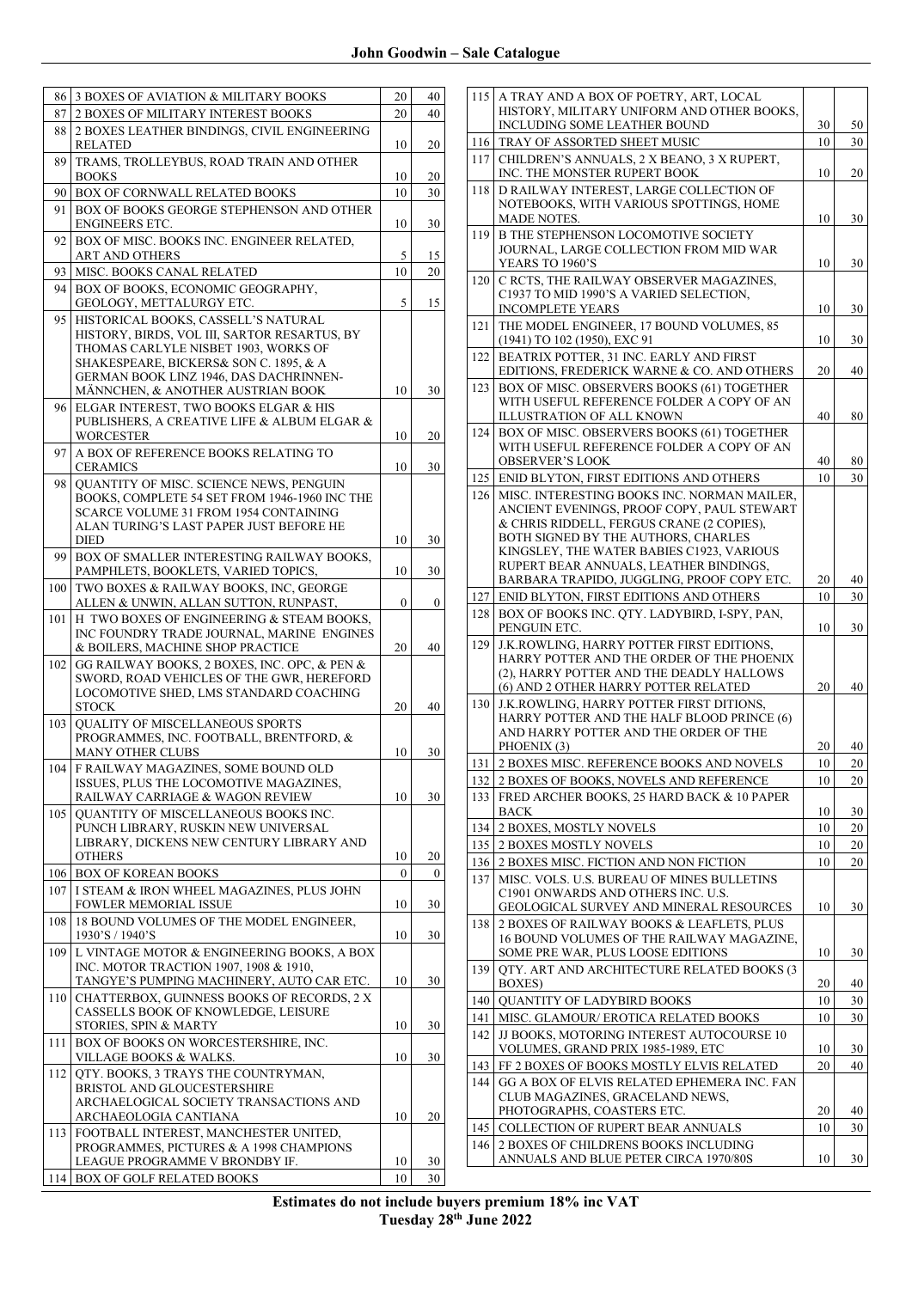| 86<br>87 | 3 BOXES OF AVIATION & MILITARY BOOKS<br>2 BOXES OF MILITARY INTEREST BOOKS                                                                                                          | 20<br>20 | 40<br>40 |
|----------|-------------------------------------------------------------------------------------------------------------------------------------------------------------------------------------|----------|----------|
| 88       | 2 BOXES LEATHER BINDINGS, CIVIL ENGINEERING<br><b>RELATED</b>                                                                                                                       | 10       | 20       |
| 89       | TRAMS, TROLLEYBUS, ROAD TRAIN AND OTHER<br><b>BOOKS</b>                                                                                                                             | 10       | 20       |
| 90       | BOX OF CORNWALL RELATED BOOKS                                                                                                                                                       | 10       | 30       |
| 91       | BOX OF BOOKS GEORGE STEPHENSON AND OTHER<br>ENGINEERS ETC.                                                                                                                          | 10       | 30       |
| 92       | BOX OF MISC. BOOKS INC. ENGINEER RELATED,<br>ART AND OTHERS                                                                                                                         | 5        | 15       |
| 93       | MISC. BOOKS CANAL RELATED                                                                                                                                                           | 10       | 20       |
| 94       | BOX OF BOOKS, ECONOMIC GEOGRAPHY,<br>GEOLOGY, METTALURGY ETC.                                                                                                                       | 5        | 15       |
| 95       | HISTORICAL BOOKS, CASSELL'S NATURAL<br>HISTORY, BIRDS, VOL III, SARTOR RESARTUS, BY<br>THOMAS CARLYLE NISBET 1903, WORKS OF<br>SHAKESPEARE, BICKERS& SON C. 1895, & A               |          |          |
|          | GERMAN BOOK LINZ 1946, DAS DACHRINNEN-<br>MÄNNCHEN, & ANOTHER AUSTRIAN BOOK                                                                                                         | 10       | 30       |
| 96       | ELGAR INTEREST, TWO BOOKS ELGAR & HIS<br>PUBLISHERS, A CREATIVE LIFE & ALBUM ELGAR $\&$<br><b>WORCESTER</b>                                                                         | 10       | 20       |
| 97       | A BOX OF REFERENCE BOOKS RELATING TO<br><b>CERAMICS</b>                                                                                                                             | 10       | 30       |
| 98       | QUANTITY OF MISC. SCIENCE NEWS, PENGUIN<br>BOOKS, COMPLETE 54 SET FROM 1946-1960 INC THE<br><b>SCARCE VOLUME 31 FROM 1954 CONTAINING</b><br>ALAN TURING'S LAST PAPER JUST BEFORE HE |          |          |
| 99       | <b>DIED</b><br>BOX OF SMALLER INTERESTING RAILWAY BOOKS,                                                                                                                            | 10       | 30       |
|          | PAMPHLETS, BOOKLETS, VARIED TOPICS,<br>TWO BOXES & RAILWAY BOOKS, INC, GEORGE                                                                                                       | 10       | 30       |
| 100      | ALLEN & UNWIN, ALLAN SUTTON, RUNPAST,                                                                                                                                               | 0        | 0        |
| 101      | H TWO BOXES OF ENGINEERING & STEAM BOOKS,<br>INC FOUNDRY TRADE JOURNAL, MARINE ENGINES<br>& BOILERS, MACHINE SHOP PRACTICE                                                          | 20       | 40       |
| 102      | GG RAILWAY BOOKS, 2 BOXES, INC. OPC, & PEN &<br>SWORD, ROAD VEHICLES OF THE GWR, HEREFORD<br>LOCOMOTIVE SHED, LMS STANDARD COACHING<br><b>STOCK</b>                                 | 20       | 40       |
| 103      | QUALITY OF MISCELLANEOUS SPORTS                                                                                                                                                     |          |          |
|          | PROGRAMMES, INC. FOOTBALL, BRENTFORD, &<br><b>MANY OTHER CLUBS</b>                                                                                                                  | 10       | 30       |
|          | 104 F RAILWAY MAGAZINES, SOME BOUND OLD<br>ISSUES, PLUS THE LOCOMOTIVE MAGAZINES,<br>RAILWAY CARRIAGE & WAGON REVIEW                                                                | 10       | 30       |
| 105      | <b>QUANTITY OF MISCELLANEOUS BOOKS INC.</b><br>PUNCH LIBRARY, RUSKIN NEW UNIVERSAL<br>LIBRARY, DICKENS NEW CENTURY LIBRARY AND<br><b>OTHERS</b>                                     | 10       | 20       |
| 106      | <b>BOX OF KOREAN BOOKS</b>                                                                                                                                                          | 0        | 0        |
| 107      | I STEAM & IRON WHEEL MAGAZINES, PLUS JOHN<br>FOWLER MEMORIAL ISSUE                                                                                                                  | 10       | 30       |
| 108      | 18 BOUND VOLUMES OF THE MODEL ENGINEER,<br>1930'S / 1940'S                                                                                                                          | 10       | 30       |
| 109      | L VINTAGE MOTOR & ENGINEERING BOOKS, A BOX<br>INC. MOTOR TRACTION 1907, 1908 & 1910,<br>TANGYE'S PUMPING MACHINERY, AUTO CAR ETC.                                                   | 10       | 30       |
| 110      | CHATTERBOX, GUINNESS BOOKS OF RECORDS, 2 X<br>CASSELLS BOOK OF KNOWLEDGE, LEISURE<br>STORIES, SPIN & MARTY                                                                          | 10       | 30       |
| 111      | BOX OF BOOKS ON WORCESTERSHIRE, INC.<br>VILLAGE BOOKS & WALKS.                                                                                                                      | 10       | 30       |
| 112      | OTY. BOOKS, 3 TRAYS THE COUNTRYMAN,<br>BRISTOL AND GLOUCESTERSHIRE<br>ARCHAELOGICAL SOCIETY TRANSACTIONS AND                                                                        |          |          |
| 113      | ARCHAEOLOGIA CANTIANA<br>FOOTBALL INTEREST, MANCHESTER UNITED,<br>PROGRAMMES, PICTURES & A 1998 CHAMPIONS                                                                           | 10       | 20       |
| 114      | LEAGUE PROGRAMME V BRONDBY IF.<br><b>BOX OF GOLF RELATED BOOKS</b>                                                                                                                  | 10<br>10 | 30<br>30 |
|          |                                                                                                                                                                                     |          |          |

| 115        | A TRAY AND A BOX OF POETRY, ART, LOCAL<br>HISTORY, MILITARY UNIFORM AND OTHER BOOKS,<br>INCLUDING SOME LEATHER BOUND        |    | 50 |
|------------|-----------------------------------------------------------------------------------------------------------------------------|----|----|
|            |                                                                                                                             | 30 |    |
| 116<br>117 | TRAY OF ASSORTED SHEET MUSIC<br>CHILDREN'S ANNUALS, 2 X BEANO, 3 X RUPERT,                                                  | 10 | 30 |
|            | INC. THE MONSTER RUPERT BOOK<br>D RAILWAY INTEREST, LARGE COLLECTION OF                                                     | 10 | 20 |
| 118        | NOTEBOOKS, WITH VARIOUS SPOTTINGS, HOME<br>MADE NOTES.                                                                      | 10 | 30 |
| 119        | <b>B THE STEPHENSON LOCOMOTIVE SOCIETY</b><br>JOURNAL, LARGE COLLECTION FROM MID WAR<br>YEARS TO 1960'S                     | 10 | 30 |
| 120        | C RCTS, THE RAILWAY OBSERVER MAGAZINES,<br>C1937 TO MID 1990'S A VARIED SELECTION,<br><b>INCOMPLETE YEARS</b>               | 10 | 30 |
| 121        | THE MODEL ENGINEER, 17 BOUND VOLUMES, 85<br>(1941) TO 102 (1950), EXC 91                                                    | 10 | 30 |
| 122        | BEATRIX POTTER, 31 INC. EARLY AND FIRST<br>EDITIONS, FREDERICK WARNE & CO. AND OTHERS                                       | 20 | 40 |
| 123        | BOX OF MISC. OBSERVERS BOOKS (61) TOGETHER<br>WITH USEFUL REFERENCE FOLDER A COPY OF AN                                     |    |    |
| 124        | ILLUSTRATION OF ALL KNOWN<br>BOX OF MISC. OBSERVERS BOOKS (61) TOGETHER<br>WITH USEFUL REFERENCE FOLDER A COPY OF AN        | 40 | 80 |
|            | <b>OBSERVER'S LOOK</b>                                                                                                      | 40 | 80 |
| 125        | ENID BLYTON, FIRST EDITIONS AND OTHERS                                                                                      | 10 | 30 |
| 126        | MISC. INTERESTING BOOKS INC. NORMAN MAILER,                                                                                 |    |    |
|            | ANCIENT EVENINGS, PROOF COPY, PAUL STEWART                                                                                  |    |    |
|            | & CHRIS RIDDELL, FERGUS CRANE (2 COPIES),<br>BOTH SIGNED BY THE AUTHORS, CHARLES                                            |    |    |
|            | KINGSLEY, THE WATER BABIES C1923, VARIOUS                                                                                   |    |    |
|            | RUPERT BEAR ANNUALS, LEATHER BINDINGS,                                                                                      |    |    |
|            | BARBARA TRAPIDO, JUGGLING, PROOF COPY ETC.                                                                                  | 20 | 40 |
| 127        | ENID BLYTON, FIRST EDITIONS AND OTHERS                                                                                      | 10 | 30 |
| 128        | BOX OF BOOKS INC. QTY. LADYBIRD, I-SPY, PAN,<br>PENGUIN ETC.                                                                | 10 | 30 |
| 129        | J.K.ROWLING, HARRY POTTER FIRST EDITIONS,                                                                                   |    |    |
|            | HARRY POTTER AND THE ORDER OF THE PHOENIX<br>(2), HARRY POTTER AND THE DEADLY HALLOWS                                       |    |    |
|            | (6) AND 2 OTHER HARRY POTTER RELATED                                                                                        | 20 | 40 |
| 130        | J.K.ROWLING, HARRY POTTER FIRST DITIONS,                                                                                    |    |    |
|            | HARRY POTTER AND THE HALF BLOOD PRINCE (6)                                                                                  |    |    |
|            | AND HARRY POTTER AND THE ORDER OF THE                                                                                       |    |    |
|            | PHOENIX (3)                                                                                                                 | 20 | 40 |
| 131        | 2 BOXES MISC. REFERENCE BOOKS AND NOVELS                                                                                    | 10 | 20 |
| 132        | 2 BOXES OF BOOKS, NOVELS AND REFERENCE                                                                                      | 10 | 20 |
| 133        | FRED ARCHER BOOKS, 25 HARD BACK & 10 PAPER<br><b>BACK</b>                                                                   | 10 | 30 |
| 134        | 2 BOXES, MOSTLY NOVELS                                                                                                      | 10 | 20 |
| 135        | 2 BOXES MOSTLY NOVELS                                                                                                       | 10 | 20 |
| 136        | 2 BOXES MISC. FICTION AND NON FICTION                                                                                       | 10 | 20 |
| 137        | MISC. VOLS. U.S. BUREAU OF MINES BULLETINS<br>C1901 ONWARDS AND OTHERS INC. U.S.<br>GEOLOGICAL SURVEY AND MINERAL RESOURCES | 10 | 30 |
| 138        | 2 BOXES OF RAILWAY BOOKS & LEAFLETS, PLUS<br>16 BOUND VOLUMES OF THE RAILWAY MAGAZINE,                                      |    |    |
| 139        | SOME PRE WAR, PLUS LOOSE EDITIONS<br>QTY. ART AND ARCHITECTURE RELATED BOOKS (3                                             | 10 | 30 |
|            | BOXES)                                                                                                                      | 20 | 40 |
| 140        | <b>QUANTITY OF LADYBIRD BOOKS</b>                                                                                           | 10 | 30 |
| 141        | MISC. GLAMOUR/ EROTICA RELATED BOOKS                                                                                        | 10 | 30 |
| 142        | JJ BOOKS, MOTORING INTEREST AUTOCOURSE 10<br>VOLUMES, GRAND PRIX 1985-1989, ETC                                             | 10 | 30 |
| 143        | FF 2 BOXES OF BOOKS MOSTLY ELVIS RELATED                                                                                    | 20 | 40 |
| 144        | GG A BOX OF ELVIS RELATED EPHEMERA INC. FAN                                                                                 |    |    |
|            | CLUB MAGAZINES, GRACELAND NEWS,<br>PHOTOGRAPHS, COASTERS ETC.                                                               | 20 | 40 |
| 145        | COLLECTION OF RUPERT BEAR ANNUALS                                                                                           | 10 | 30 |
| 146        | 2 BOXES OF CHILDRENS BOOKS INCLUDING                                                                                        |    |    |
|            | ANNUALS AND BLUE PETER CIRCA 1970/80S                                                                                       | 10 | 30 |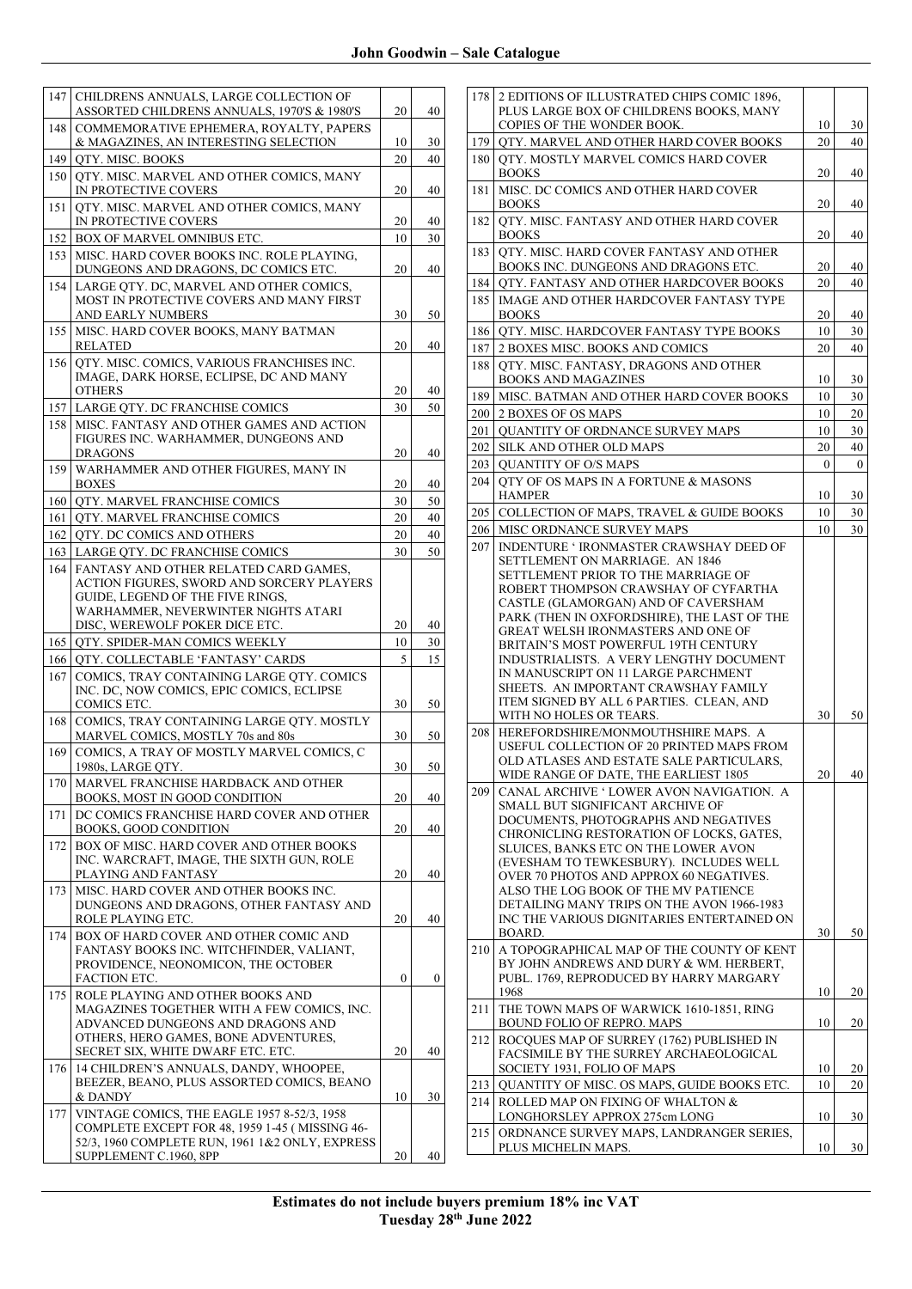| 147        | CHILDRENS ANNUALS, LARGE COLLECTION OF<br>ASSORTED CHILDRENS ANNUALS, 1970'S & 1980'S             | 20               | 40               |
|------------|---------------------------------------------------------------------------------------------------|------------------|------------------|
| 148        | COMMEMORATIVE EPHEMERA, ROYALTY, PAPERS                                                           |                  |                  |
| 149        | & MAGAZINES, AN INTERESTING SELECTION<br>QTY. MISC. BOOKS                                         | 10<br>20         | 30<br>40         |
| 150        | QTY. MISC. MARVEL AND OTHER COMICS, MANY                                                          |                  |                  |
|            | IN PROTECTIVE COVERS                                                                              | 20               | 40               |
| 151        | OTY. MISC. MARVEL AND OTHER COMICS, MANY<br>IN PROTECTIVE COVERS                                  | 20               | 40               |
| 152        | BOX OF MARVEL OMNIBUS ETC.                                                                        | 10               | 30               |
| 153        | MISC. HARD COVER BOOKS INC. ROLE PLAYING,<br>DUNGEONS AND DRAGONS, DC COMICS ETC.                 | 20               | 40               |
| 154        | LARGE OTY. DC, MARVEL AND OTHER COMICS,                                                           |                  |                  |
|            | MOST IN PROTECTIVE COVERS AND MANY FIRST                                                          |                  |                  |
| 155        | AND EARLY NUMBERS<br>MISC. HARD COVER BOOKS, MANY BATMAN                                          | 30               | 50               |
|            | <b>RELATED</b>                                                                                    | 20               | 40               |
| 156        | QTY. MISC. COMICS, VARIOUS FRANCHISES INC.<br>IMAGE, DARK HORSE, ECLIPSE, DC AND MANY             |                  |                  |
|            | <b>OTHERS</b>                                                                                     | 20               | 40               |
| 157        | LARGE QTY. DC FRANCHISE COMICS                                                                    | 30               | 50               |
| 158        | MISC. FANTASY AND OTHER GAMES AND ACTION<br>FIGURES INC. WARHAMMER, DUNGEONS AND                  |                  |                  |
|            | <b>DRAGONS</b>                                                                                    | 20               | 40               |
| 159        | WARHAMMER AND OTHER FIGURES, MANY IN                                                              |                  |                  |
|            | <b>BOXES</b><br>QTY. MARVEL FRANCHISE COMICS                                                      | 20<br>30         | 40<br>50         |
| 160<br>161 | QTY. MARVEL FRANCHISE COMICS                                                                      | 20               | 40               |
| 162        | QTY. DC COMICS AND OTHERS                                                                         | 20               | 40               |
| 163        | LARGE QTY. DC FRANCHISE COMICS                                                                    | 30               | 50               |
| 164        | FANTASY AND OTHER RELATED CARD GAMES,<br>ACTION FIGURES, SWORD AND SORCERY PLAYERS                |                  |                  |
|            | GUIDE, LEGEND OF THE FIVE RINGS,                                                                  |                  |                  |
|            | WARHAMMER, NEVERWINTER NIGHTS ATARI                                                               |                  |                  |
| 165        | DISC, WEREWOLF POKER DICE ETC.<br>QTY. SPIDER-MAN COMICS WEEKLY                                   | 20<br>10         | 40<br>30         |
| 166        | QTY. COLLECTABLE 'FANTASY' CARDS                                                                  | 5                | 15               |
| 167        | COMICS, TRAY CONTAINING LARGE OTY. COMICS                                                         |                  |                  |
|            | INC. DC, NOW COMICS, EPIC COMICS, ECLIPSE<br>COMICS ETC.                                          | 30               | 50               |
| 168        | COMICS, TRAY CONTAINING LARGE QTY. MOSTLY                                                         |                  |                  |
|            | MARVEL COMICS, MOSTLY 70s and 80s                                                                 | 30               | 50               |
| 169        | COMICS, A TRAY OF MOSTLY MARVEL COMICS, C<br>1980s, LARGE QTY.                                    | 30               | 50               |
| 170        | MARVEL FRANCHISE HARDBACK AND OTHER                                                               |                  |                  |
|            | BOOKS, MOST IN GOOD CONDITION                                                                     | 20               | 40               |
| 171        | DC COMICS FRANCHISE HARD COVER AND OTHER<br>BOOKS, GOOD CONDITION                                 | 20               | 40               |
| 172        | BOX OF MISC. HARD COVER AND OTHER BOOKS                                                           |                  |                  |
|            | INC. WARCRAFT, IMAGE, THE SIXTH GUN, ROLE<br>PLAYING AND FANTASY                                  | 20               | 40               |
| 173        | MISC. HARD COVER AND OTHER BOOKS INC.                                                             |                  |                  |
|            | DUNGEONS AND DRAGONS, OTHER FANTASY AND                                                           |                  |                  |
| 174        | ROLE PLAYING ETC.<br>BOX OF HARD COVER AND OTHER COMIC AND                                        | 20               | 40               |
|            | FANTASY BOOKS INC. WITCHFINDER, VALIANT,                                                          |                  |                  |
|            | PROVIDENCE, NEONOMICON, THE OCTOBER<br>FACTION ETC.                                               | $\boldsymbol{0}$ | $\boldsymbol{0}$ |
| 175        | ROLE PLAYING AND OTHER BOOKS AND                                                                  |                  |                  |
|            | MAGAZINES TOGETHER WITH A FEW COMICS, INC.                                                        |                  |                  |
|            | ADVANCED DUNGEONS AND DRAGONS AND<br>OTHERS, HERO GAMES, BONE ADVENTURES,                         |                  |                  |
|            | SECRET SIX, WHITE DWARF ETC. ETC.                                                                 | 20               | 40               |
| 176        | 14 CHILDREN'S ANNUALS, DANDY, WHOOPEE,<br>BEEZER, BEANO, PLUS ASSORTED COMICS, BEANO              |                  |                  |
|            | & DANDY                                                                                           | 10               | 30               |
| 177        | VINTAGE COMICS, THE EAGLE 1957 8-52/3, 1958                                                       |                  |                  |
|            | COMPLETE EXCEPT FOR 48, 1959 1-45 (MISSING 46-<br>52/3, 1960 COMPLETE RUN, 1961 1&2 ONLY, EXPRESS |                  |                  |
|            | SUPPLEMENT C.1960, 8PP                                                                            | 20               | 40               |

| COPIES OF THE WONDER BOOK.<br>10<br>30<br>20<br>179<br>QTY. MARVEL AND OTHER HARD COVER BOOKS<br>40<br>OTY. MOSTLY MARVEL COMICS HARD COVER<br>180<br><b>BOOKS</b><br>20<br>40<br>MISC. DC COMICS AND OTHER HARD COVER<br>181<br><b>BOOKS</b><br>20<br>40<br>QTY. MISC. FANTASY AND OTHER HARD COVER<br>182<br>20<br>40<br><b>BOOKS</b><br>OTY. MISC. HARD COVER FANTASY AND OTHER<br>183<br>BOOKS INC. DUNGEONS AND DRAGONS ETC.<br>20<br>40<br>184<br>OTY. FANTASY AND OTHER HARDCOVER BOOKS<br>20<br>40<br>185<br><b>IMAGE AND OTHER HARDCOVER FANTASY TYPE</b><br><b>BOOKS</b><br>20<br>40<br>QTY. MISC. HARDCOVER FANTASY TYPE BOOKS<br>186<br>10<br>30<br>187<br>2 BOXES MISC. BOOKS AND COMICS<br>20<br>40<br>QTY. MISC. FANTASY, DRAGONS AND OTHER<br>188<br><b>BOOKS AND MAGAZINES</b><br>30<br>10<br>MISC. BATMAN AND OTHER HARD COVER BOOKS<br>189<br>10<br>30<br>200<br><b>2 BOXES OF OS MAPS</b><br>10<br>20<br>201<br><b>QUANTITY OF ORDNANCE SURVEY MAPS</b><br>10<br>30<br>202<br>SILK AND OTHER OLD MAPS<br>20<br>40<br>203<br><b>OUANTITY OF O/S MAPS</b><br>$\theta$<br>$\theta$<br>OTY OF OS MAPS IN A FORTUNE & MASONS<br>204<br><b>HAMPER</b><br>30<br>10<br>205<br><b>COLLECTION OF MAPS, TRAVEL &amp; GUIDE BOOKS</b><br>10<br>30<br>30<br>206<br>MISC ORDNANCE SURVEY MAPS<br>10<br>207<br>INDENTURE ' IRONMASTER CRAWSHAY DEED OF<br>SETTLEMENT ON MARRIAGE. AN 1846<br>SETTLEMENT PRIOR TO THE MARRIAGE OF<br>ROBERT THOMPSON CRAWSHAY OF CYFARTHA<br>CASTLE (GLAMORGAN) AND OF CAVERSHAM<br>PARK (THEN IN OXFORDSHIRE), THE LAST OF THE<br>GREAT WELSH IRONMASTERS AND ONE OF<br>BRITAIN'S MOST POWERFUL 19TH CENTURY<br>INDUSTRIALISTS. A VERY LENGTHY DOCUMENT<br>IN MANUSCRIPT ON 11 LARGE PARCHMENT<br>SHEETS. AN IMPORTANT CRAWSHAY FAMILY<br>ITEM SIGNED BY ALL 6 PARTIES. CLEAN, AND<br>WITH NO HOLES OR TEARS.<br>30<br>50<br>208<br>HEREFORDSHIRE/MONMOUTHSHIRE MAPS. A<br>USEFUL COLLECTION OF 20 PRINTED MAPS FROM<br>OLD ATLASES AND ESTATE SALE PARTICULARS,<br>WIDE RANGE OF DATE, THE EARLIEST 1805<br>20<br>40<br>209<br>CANAL ARCHIVE 'LOWER AVON NAVIGATION. A<br>SMALL BUT SIGNIFICANT ARCHIVE OF<br>DOCUMENTS, PHOTOGRAPHS AND NEGATIVES<br>CHRONICLING RESTORATION OF LOCKS, GATES,<br>SLUICES, BANKS ETC ON THE LOWER AVON<br>(EVESHAM TO TEWKESBURY). INCLUDES WELL<br>OVER 70 PHOTOS AND APPROX 60 NEGATIVES.<br>ALSO THE LOG BOOK OF THE MV PATIENCE<br>DETAILING MANY TRIPS ON THE AVON 1966-1983<br>INC THE VARIOUS DIGNITARIES ENTERTAINED ON<br>BOARD.<br>30<br>50<br>A TOPOGRAPHICAL MAP OF THE COUNTY OF KENT<br>210<br>BY JOHN ANDREWS AND DURY & WM. HERBERT,<br>PUBL. 1769, REPRODUCED BY HARRY MARGARY<br>1968<br>10<br>20<br>THE TOWN MAPS OF WARWICK 1610-1851, RING<br>211<br>BOUND FOLIO OF REPRO. MAPS<br>10<br>20<br>ROCQUES MAP OF SURREY (1762) PUBLISHED IN<br>212<br>FACSIMILE BY THE SURREY ARCHAEOLOGICAL<br>SOCIETY 1931, FOLIO OF MAPS<br>20<br>10<br>QUANTITY OF MISC. OS MAPS, GUIDE BOOKS ETC.<br>213<br>10<br>20<br>214<br>ROLLED MAP ON FIXING OF WHALTON &<br>LONGHORSLEY APPROX 275cm LONG<br>10<br>30<br>ORDNANCE SURVEY MAPS, LANDRANGER SERIES,<br>215<br>PLUS MICHELIN MAPS.<br>30<br>10 | 178 | 2 EDITIONS OF ILLUSTRATED CHIPS COMIC 1896, |  |
|----------------------------------------------------------------------------------------------------------------------------------------------------------------------------------------------------------------------------------------------------------------------------------------------------------------------------------------------------------------------------------------------------------------------------------------------------------------------------------------------------------------------------------------------------------------------------------------------------------------------------------------------------------------------------------------------------------------------------------------------------------------------------------------------------------------------------------------------------------------------------------------------------------------------------------------------------------------------------------------------------------------------------------------------------------------------------------------------------------------------------------------------------------------------------------------------------------------------------------------------------------------------------------------------------------------------------------------------------------------------------------------------------------------------------------------------------------------------------------------------------------------------------------------------------------------------------------------------------------------------------------------------------------------------------------------------------------------------------------------------------------------------------------------------------------------------------------------------------------------------------------------------------------------------------------------------------------------------------------------------------------------------------------------------------------------------------------------------------------------------------------------------------------------------------------------------------------------------------------------------------------------------------------------------------------------------------------------------------------------------------------------------------------------------------------------------------------------------------------------------------------------------------------------------------------------------------------------------------------------------------------------------------------------------------------------------------------------------------------------------------------------------------------------------------------------------------------------------------------------------------------------------------------------------------------------------------------------------------------------------------------------------------------------------------------------------------------------------------------------------------------------------------------------------------------|-----|---------------------------------------------|--|
|                                                                                                                                                                                                                                                                                                                                                                                                                                                                                                                                                                                                                                                                                                                                                                                                                                                                                                                                                                                                                                                                                                                                                                                                                                                                                                                                                                                                                                                                                                                                                                                                                                                                                                                                                                                                                                                                                                                                                                                                                                                                                                                                                                                                                                                                                                                                                                                                                                                                                                                                                                                                                                                                                                                                                                                                                                                                                                                                                                                                                                                                                                                                                                                  |     | PLUS LARGE BOX OF CHILDRENS BOOKS, MANY     |  |
|                                                                                                                                                                                                                                                                                                                                                                                                                                                                                                                                                                                                                                                                                                                                                                                                                                                                                                                                                                                                                                                                                                                                                                                                                                                                                                                                                                                                                                                                                                                                                                                                                                                                                                                                                                                                                                                                                                                                                                                                                                                                                                                                                                                                                                                                                                                                                                                                                                                                                                                                                                                                                                                                                                                                                                                                                                                                                                                                                                                                                                                                                                                                                                                  |     |                                             |  |
|                                                                                                                                                                                                                                                                                                                                                                                                                                                                                                                                                                                                                                                                                                                                                                                                                                                                                                                                                                                                                                                                                                                                                                                                                                                                                                                                                                                                                                                                                                                                                                                                                                                                                                                                                                                                                                                                                                                                                                                                                                                                                                                                                                                                                                                                                                                                                                                                                                                                                                                                                                                                                                                                                                                                                                                                                                                                                                                                                                                                                                                                                                                                                                                  |     |                                             |  |
|                                                                                                                                                                                                                                                                                                                                                                                                                                                                                                                                                                                                                                                                                                                                                                                                                                                                                                                                                                                                                                                                                                                                                                                                                                                                                                                                                                                                                                                                                                                                                                                                                                                                                                                                                                                                                                                                                                                                                                                                                                                                                                                                                                                                                                                                                                                                                                                                                                                                                                                                                                                                                                                                                                                                                                                                                                                                                                                                                                                                                                                                                                                                                                                  |     |                                             |  |
|                                                                                                                                                                                                                                                                                                                                                                                                                                                                                                                                                                                                                                                                                                                                                                                                                                                                                                                                                                                                                                                                                                                                                                                                                                                                                                                                                                                                                                                                                                                                                                                                                                                                                                                                                                                                                                                                                                                                                                                                                                                                                                                                                                                                                                                                                                                                                                                                                                                                                                                                                                                                                                                                                                                                                                                                                                                                                                                                                                                                                                                                                                                                                                                  |     |                                             |  |
|                                                                                                                                                                                                                                                                                                                                                                                                                                                                                                                                                                                                                                                                                                                                                                                                                                                                                                                                                                                                                                                                                                                                                                                                                                                                                                                                                                                                                                                                                                                                                                                                                                                                                                                                                                                                                                                                                                                                                                                                                                                                                                                                                                                                                                                                                                                                                                                                                                                                                                                                                                                                                                                                                                                                                                                                                                                                                                                                                                                                                                                                                                                                                                                  |     |                                             |  |
|                                                                                                                                                                                                                                                                                                                                                                                                                                                                                                                                                                                                                                                                                                                                                                                                                                                                                                                                                                                                                                                                                                                                                                                                                                                                                                                                                                                                                                                                                                                                                                                                                                                                                                                                                                                                                                                                                                                                                                                                                                                                                                                                                                                                                                                                                                                                                                                                                                                                                                                                                                                                                                                                                                                                                                                                                                                                                                                                                                                                                                                                                                                                                                                  |     |                                             |  |
|                                                                                                                                                                                                                                                                                                                                                                                                                                                                                                                                                                                                                                                                                                                                                                                                                                                                                                                                                                                                                                                                                                                                                                                                                                                                                                                                                                                                                                                                                                                                                                                                                                                                                                                                                                                                                                                                                                                                                                                                                                                                                                                                                                                                                                                                                                                                                                                                                                                                                                                                                                                                                                                                                                                                                                                                                                                                                                                                                                                                                                                                                                                                                                                  |     |                                             |  |
|                                                                                                                                                                                                                                                                                                                                                                                                                                                                                                                                                                                                                                                                                                                                                                                                                                                                                                                                                                                                                                                                                                                                                                                                                                                                                                                                                                                                                                                                                                                                                                                                                                                                                                                                                                                                                                                                                                                                                                                                                                                                                                                                                                                                                                                                                                                                                                                                                                                                                                                                                                                                                                                                                                                                                                                                                                                                                                                                                                                                                                                                                                                                                                                  |     |                                             |  |
|                                                                                                                                                                                                                                                                                                                                                                                                                                                                                                                                                                                                                                                                                                                                                                                                                                                                                                                                                                                                                                                                                                                                                                                                                                                                                                                                                                                                                                                                                                                                                                                                                                                                                                                                                                                                                                                                                                                                                                                                                                                                                                                                                                                                                                                                                                                                                                                                                                                                                                                                                                                                                                                                                                                                                                                                                                                                                                                                                                                                                                                                                                                                                                                  |     |                                             |  |
|                                                                                                                                                                                                                                                                                                                                                                                                                                                                                                                                                                                                                                                                                                                                                                                                                                                                                                                                                                                                                                                                                                                                                                                                                                                                                                                                                                                                                                                                                                                                                                                                                                                                                                                                                                                                                                                                                                                                                                                                                                                                                                                                                                                                                                                                                                                                                                                                                                                                                                                                                                                                                                                                                                                                                                                                                                                                                                                                                                                                                                                                                                                                                                                  |     |                                             |  |
|                                                                                                                                                                                                                                                                                                                                                                                                                                                                                                                                                                                                                                                                                                                                                                                                                                                                                                                                                                                                                                                                                                                                                                                                                                                                                                                                                                                                                                                                                                                                                                                                                                                                                                                                                                                                                                                                                                                                                                                                                                                                                                                                                                                                                                                                                                                                                                                                                                                                                                                                                                                                                                                                                                                                                                                                                                                                                                                                                                                                                                                                                                                                                                                  |     |                                             |  |
|                                                                                                                                                                                                                                                                                                                                                                                                                                                                                                                                                                                                                                                                                                                                                                                                                                                                                                                                                                                                                                                                                                                                                                                                                                                                                                                                                                                                                                                                                                                                                                                                                                                                                                                                                                                                                                                                                                                                                                                                                                                                                                                                                                                                                                                                                                                                                                                                                                                                                                                                                                                                                                                                                                                                                                                                                                                                                                                                                                                                                                                                                                                                                                                  |     |                                             |  |
|                                                                                                                                                                                                                                                                                                                                                                                                                                                                                                                                                                                                                                                                                                                                                                                                                                                                                                                                                                                                                                                                                                                                                                                                                                                                                                                                                                                                                                                                                                                                                                                                                                                                                                                                                                                                                                                                                                                                                                                                                                                                                                                                                                                                                                                                                                                                                                                                                                                                                                                                                                                                                                                                                                                                                                                                                                                                                                                                                                                                                                                                                                                                                                                  |     |                                             |  |
|                                                                                                                                                                                                                                                                                                                                                                                                                                                                                                                                                                                                                                                                                                                                                                                                                                                                                                                                                                                                                                                                                                                                                                                                                                                                                                                                                                                                                                                                                                                                                                                                                                                                                                                                                                                                                                                                                                                                                                                                                                                                                                                                                                                                                                                                                                                                                                                                                                                                                                                                                                                                                                                                                                                                                                                                                                                                                                                                                                                                                                                                                                                                                                                  |     |                                             |  |
|                                                                                                                                                                                                                                                                                                                                                                                                                                                                                                                                                                                                                                                                                                                                                                                                                                                                                                                                                                                                                                                                                                                                                                                                                                                                                                                                                                                                                                                                                                                                                                                                                                                                                                                                                                                                                                                                                                                                                                                                                                                                                                                                                                                                                                                                                                                                                                                                                                                                                                                                                                                                                                                                                                                                                                                                                                                                                                                                                                                                                                                                                                                                                                                  |     |                                             |  |
|                                                                                                                                                                                                                                                                                                                                                                                                                                                                                                                                                                                                                                                                                                                                                                                                                                                                                                                                                                                                                                                                                                                                                                                                                                                                                                                                                                                                                                                                                                                                                                                                                                                                                                                                                                                                                                                                                                                                                                                                                                                                                                                                                                                                                                                                                                                                                                                                                                                                                                                                                                                                                                                                                                                                                                                                                                                                                                                                                                                                                                                                                                                                                                                  |     |                                             |  |
|                                                                                                                                                                                                                                                                                                                                                                                                                                                                                                                                                                                                                                                                                                                                                                                                                                                                                                                                                                                                                                                                                                                                                                                                                                                                                                                                                                                                                                                                                                                                                                                                                                                                                                                                                                                                                                                                                                                                                                                                                                                                                                                                                                                                                                                                                                                                                                                                                                                                                                                                                                                                                                                                                                                                                                                                                                                                                                                                                                                                                                                                                                                                                                                  |     |                                             |  |
|                                                                                                                                                                                                                                                                                                                                                                                                                                                                                                                                                                                                                                                                                                                                                                                                                                                                                                                                                                                                                                                                                                                                                                                                                                                                                                                                                                                                                                                                                                                                                                                                                                                                                                                                                                                                                                                                                                                                                                                                                                                                                                                                                                                                                                                                                                                                                                                                                                                                                                                                                                                                                                                                                                                                                                                                                                                                                                                                                                                                                                                                                                                                                                                  |     |                                             |  |
|                                                                                                                                                                                                                                                                                                                                                                                                                                                                                                                                                                                                                                                                                                                                                                                                                                                                                                                                                                                                                                                                                                                                                                                                                                                                                                                                                                                                                                                                                                                                                                                                                                                                                                                                                                                                                                                                                                                                                                                                                                                                                                                                                                                                                                                                                                                                                                                                                                                                                                                                                                                                                                                                                                                                                                                                                                                                                                                                                                                                                                                                                                                                                                                  |     |                                             |  |
|                                                                                                                                                                                                                                                                                                                                                                                                                                                                                                                                                                                                                                                                                                                                                                                                                                                                                                                                                                                                                                                                                                                                                                                                                                                                                                                                                                                                                                                                                                                                                                                                                                                                                                                                                                                                                                                                                                                                                                                                                                                                                                                                                                                                                                                                                                                                                                                                                                                                                                                                                                                                                                                                                                                                                                                                                                                                                                                                                                                                                                                                                                                                                                                  |     |                                             |  |
|                                                                                                                                                                                                                                                                                                                                                                                                                                                                                                                                                                                                                                                                                                                                                                                                                                                                                                                                                                                                                                                                                                                                                                                                                                                                                                                                                                                                                                                                                                                                                                                                                                                                                                                                                                                                                                                                                                                                                                                                                                                                                                                                                                                                                                                                                                                                                                                                                                                                                                                                                                                                                                                                                                                                                                                                                                                                                                                                                                                                                                                                                                                                                                                  |     |                                             |  |
|                                                                                                                                                                                                                                                                                                                                                                                                                                                                                                                                                                                                                                                                                                                                                                                                                                                                                                                                                                                                                                                                                                                                                                                                                                                                                                                                                                                                                                                                                                                                                                                                                                                                                                                                                                                                                                                                                                                                                                                                                                                                                                                                                                                                                                                                                                                                                                                                                                                                                                                                                                                                                                                                                                                                                                                                                                                                                                                                                                                                                                                                                                                                                                                  |     |                                             |  |
|                                                                                                                                                                                                                                                                                                                                                                                                                                                                                                                                                                                                                                                                                                                                                                                                                                                                                                                                                                                                                                                                                                                                                                                                                                                                                                                                                                                                                                                                                                                                                                                                                                                                                                                                                                                                                                                                                                                                                                                                                                                                                                                                                                                                                                                                                                                                                                                                                                                                                                                                                                                                                                                                                                                                                                                                                                                                                                                                                                                                                                                                                                                                                                                  |     |                                             |  |
|                                                                                                                                                                                                                                                                                                                                                                                                                                                                                                                                                                                                                                                                                                                                                                                                                                                                                                                                                                                                                                                                                                                                                                                                                                                                                                                                                                                                                                                                                                                                                                                                                                                                                                                                                                                                                                                                                                                                                                                                                                                                                                                                                                                                                                                                                                                                                                                                                                                                                                                                                                                                                                                                                                                                                                                                                                                                                                                                                                                                                                                                                                                                                                                  |     |                                             |  |
|                                                                                                                                                                                                                                                                                                                                                                                                                                                                                                                                                                                                                                                                                                                                                                                                                                                                                                                                                                                                                                                                                                                                                                                                                                                                                                                                                                                                                                                                                                                                                                                                                                                                                                                                                                                                                                                                                                                                                                                                                                                                                                                                                                                                                                                                                                                                                                                                                                                                                                                                                                                                                                                                                                                                                                                                                                                                                                                                                                                                                                                                                                                                                                                  |     |                                             |  |
|                                                                                                                                                                                                                                                                                                                                                                                                                                                                                                                                                                                                                                                                                                                                                                                                                                                                                                                                                                                                                                                                                                                                                                                                                                                                                                                                                                                                                                                                                                                                                                                                                                                                                                                                                                                                                                                                                                                                                                                                                                                                                                                                                                                                                                                                                                                                                                                                                                                                                                                                                                                                                                                                                                                                                                                                                                                                                                                                                                                                                                                                                                                                                                                  |     |                                             |  |
|                                                                                                                                                                                                                                                                                                                                                                                                                                                                                                                                                                                                                                                                                                                                                                                                                                                                                                                                                                                                                                                                                                                                                                                                                                                                                                                                                                                                                                                                                                                                                                                                                                                                                                                                                                                                                                                                                                                                                                                                                                                                                                                                                                                                                                                                                                                                                                                                                                                                                                                                                                                                                                                                                                                                                                                                                                                                                                                                                                                                                                                                                                                                                                                  |     |                                             |  |
|                                                                                                                                                                                                                                                                                                                                                                                                                                                                                                                                                                                                                                                                                                                                                                                                                                                                                                                                                                                                                                                                                                                                                                                                                                                                                                                                                                                                                                                                                                                                                                                                                                                                                                                                                                                                                                                                                                                                                                                                                                                                                                                                                                                                                                                                                                                                                                                                                                                                                                                                                                                                                                                                                                                                                                                                                                                                                                                                                                                                                                                                                                                                                                                  |     |                                             |  |
|                                                                                                                                                                                                                                                                                                                                                                                                                                                                                                                                                                                                                                                                                                                                                                                                                                                                                                                                                                                                                                                                                                                                                                                                                                                                                                                                                                                                                                                                                                                                                                                                                                                                                                                                                                                                                                                                                                                                                                                                                                                                                                                                                                                                                                                                                                                                                                                                                                                                                                                                                                                                                                                                                                                                                                                                                                                                                                                                                                                                                                                                                                                                                                                  |     |                                             |  |
|                                                                                                                                                                                                                                                                                                                                                                                                                                                                                                                                                                                                                                                                                                                                                                                                                                                                                                                                                                                                                                                                                                                                                                                                                                                                                                                                                                                                                                                                                                                                                                                                                                                                                                                                                                                                                                                                                                                                                                                                                                                                                                                                                                                                                                                                                                                                                                                                                                                                                                                                                                                                                                                                                                                                                                                                                                                                                                                                                                                                                                                                                                                                                                                  |     |                                             |  |
|                                                                                                                                                                                                                                                                                                                                                                                                                                                                                                                                                                                                                                                                                                                                                                                                                                                                                                                                                                                                                                                                                                                                                                                                                                                                                                                                                                                                                                                                                                                                                                                                                                                                                                                                                                                                                                                                                                                                                                                                                                                                                                                                                                                                                                                                                                                                                                                                                                                                                                                                                                                                                                                                                                                                                                                                                                                                                                                                                                                                                                                                                                                                                                                  |     |                                             |  |
|                                                                                                                                                                                                                                                                                                                                                                                                                                                                                                                                                                                                                                                                                                                                                                                                                                                                                                                                                                                                                                                                                                                                                                                                                                                                                                                                                                                                                                                                                                                                                                                                                                                                                                                                                                                                                                                                                                                                                                                                                                                                                                                                                                                                                                                                                                                                                                                                                                                                                                                                                                                                                                                                                                                                                                                                                                                                                                                                                                                                                                                                                                                                                                                  |     |                                             |  |
|                                                                                                                                                                                                                                                                                                                                                                                                                                                                                                                                                                                                                                                                                                                                                                                                                                                                                                                                                                                                                                                                                                                                                                                                                                                                                                                                                                                                                                                                                                                                                                                                                                                                                                                                                                                                                                                                                                                                                                                                                                                                                                                                                                                                                                                                                                                                                                                                                                                                                                                                                                                                                                                                                                                                                                                                                                                                                                                                                                                                                                                                                                                                                                                  |     |                                             |  |
|                                                                                                                                                                                                                                                                                                                                                                                                                                                                                                                                                                                                                                                                                                                                                                                                                                                                                                                                                                                                                                                                                                                                                                                                                                                                                                                                                                                                                                                                                                                                                                                                                                                                                                                                                                                                                                                                                                                                                                                                                                                                                                                                                                                                                                                                                                                                                                                                                                                                                                                                                                                                                                                                                                                                                                                                                                                                                                                                                                                                                                                                                                                                                                                  |     |                                             |  |
|                                                                                                                                                                                                                                                                                                                                                                                                                                                                                                                                                                                                                                                                                                                                                                                                                                                                                                                                                                                                                                                                                                                                                                                                                                                                                                                                                                                                                                                                                                                                                                                                                                                                                                                                                                                                                                                                                                                                                                                                                                                                                                                                                                                                                                                                                                                                                                                                                                                                                                                                                                                                                                                                                                                                                                                                                                                                                                                                                                                                                                                                                                                                                                                  |     |                                             |  |
|                                                                                                                                                                                                                                                                                                                                                                                                                                                                                                                                                                                                                                                                                                                                                                                                                                                                                                                                                                                                                                                                                                                                                                                                                                                                                                                                                                                                                                                                                                                                                                                                                                                                                                                                                                                                                                                                                                                                                                                                                                                                                                                                                                                                                                                                                                                                                                                                                                                                                                                                                                                                                                                                                                                                                                                                                                                                                                                                                                                                                                                                                                                                                                                  |     |                                             |  |
|                                                                                                                                                                                                                                                                                                                                                                                                                                                                                                                                                                                                                                                                                                                                                                                                                                                                                                                                                                                                                                                                                                                                                                                                                                                                                                                                                                                                                                                                                                                                                                                                                                                                                                                                                                                                                                                                                                                                                                                                                                                                                                                                                                                                                                                                                                                                                                                                                                                                                                                                                                                                                                                                                                                                                                                                                                                                                                                                                                                                                                                                                                                                                                                  |     |                                             |  |
|                                                                                                                                                                                                                                                                                                                                                                                                                                                                                                                                                                                                                                                                                                                                                                                                                                                                                                                                                                                                                                                                                                                                                                                                                                                                                                                                                                                                                                                                                                                                                                                                                                                                                                                                                                                                                                                                                                                                                                                                                                                                                                                                                                                                                                                                                                                                                                                                                                                                                                                                                                                                                                                                                                                                                                                                                                                                                                                                                                                                                                                                                                                                                                                  |     |                                             |  |
|                                                                                                                                                                                                                                                                                                                                                                                                                                                                                                                                                                                                                                                                                                                                                                                                                                                                                                                                                                                                                                                                                                                                                                                                                                                                                                                                                                                                                                                                                                                                                                                                                                                                                                                                                                                                                                                                                                                                                                                                                                                                                                                                                                                                                                                                                                                                                                                                                                                                                                                                                                                                                                                                                                                                                                                                                                                                                                                                                                                                                                                                                                                                                                                  |     |                                             |  |
|                                                                                                                                                                                                                                                                                                                                                                                                                                                                                                                                                                                                                                                                                                                                                                                                                                                                                                                                                                                                                                                                                                                                                                                                                                                                                                                                                                                                                                                                                                                                                                                                                                                                                                                                                                                                                                                                                                                                                                                                                                                                                                                                                                                                                                                                                                                                                                                                                                                                                                                                                                                                                                                                                                                                                                                                                                                                                                                                                                                                                                                                                                                                                                                  |     |                                             |  |
|                                                                                                                                                                                                                                                                                                                                                                                                                                                                                                                                                                                                                                                                                                                                                                                                                                                                                                                                                                                                                                                                                                                                                                                                                                                                                                                                                                                                                                                                                                                                                                                                                                                                                                                                                                                                                                                                                                                                                                                                                                                                                                                                                                                                                                                                                                                                                                                                                                                                                                                                                                                                                                                                                                                                                                                                                                                                                                                                                                                                                                                                                                                                                                                  |     |                                             |  |
|                                                                                                                                                                                                                                                                                                                                                                                                                                                                                                                                                                                                                                                                                                                                                                                                                                                                                                                                                                                                                                                                                                                                                                                                                                                                                                                                                                                                                                                                                                                                                                                                                                                                                                                                                                                                                                                                                                                                                                                                                                                                                                                                                                                                                                                                                                                                                                                                                                                                                                                                                                                                                                                                                                                                                                                                                                                                                                                                                                                                                                                                                                                                                                                  |     |                                             |  |
|                                                                                                                                                                                                                                                                                                                                                                                                                                                                                                                                                                                                                                                                                                                                                                                                                                                                                                                                                                                                                                                                                                                                                                                                                                                                                                                                                                                                                                                                                                                                                                                                                                                                                                                                                                                                                                                                                                                                                                                                                                                                                                                                                                                                                                                                                                                                                                                                                                                                                                                                                                                                                                                                                                                                                                                                                                                                                                                                                                                                                                                                                                                                                                                  |     |                                             |  |
|                                                                                                                                                                                                                                                                                                                                                                                                                                                                                                                                                                                                                                                                                                                                                                                                                                                                                                                                                                                                                                                                                                                                                                                                                                                                                                                                                                                                                                                                                                                                                                                                                                                                                                                                                                                                                                                                                                                                                                                                                                                                                                                                                                                                                                                                                                                                                                                                                                                                                                                                                                                                                                                                                                                                                                                                                                                                                                                                                                                                                                                                                                                                                                                  |     |                                             |  |
|                                                                                                                                                                                                                                                                                                                                                                                                                                                                                                                                                                                                                                                                                                                                                                                                                                                                                                                                                                                                                                                                                                                                                                                                                                                                                                                                                                                                                                                                                                                                                                                                                                                                                                                                                                                                                                                                                                                                                                                                                                                                                                                                                                                                                                                                                                                                                                                                                                                                                                                                                                                                                                                                                                                                                                                                                                                                                                                                                                                                                                                                                                                                                                                  |     |                                             |  |
|                                                                                                                                                                                                                                                                                                                                                                                                                                                                                                                                                                                                                                                                                                                                                                                                                                                                                                                                                                                                                                                                                                                                                                                                                                                                                                                                                                                                                                                                                                                                                                                                                                                                                                                                                                                                                                                                                                                                                                                                                                                                                                                                                                                                                                                                                                                                                                                                                                                                                                                                                                                                                                                                                                                                                                                                                                                                                                                                                                                                                                                                                                                                                                                  |     |                                             |  |
|                                                                                                                                                                                                                                                                                                                                                                                                                                                                                                                                                                                                                                                                                                                                                                                                                                                                                                                                                                                                                                                                                                                                                                                                                                                                                                                                                                                                                                                                                                                                                                                                                                                                                                                                                                                                                                                                                                                                                                                                                                                                                                                                                                                                                                                                                                                                                                                                                                                                                                                                                                                                                                                                                                                                                                                                                                                                                                                                                                                                                                                                                                                                                                                  |     |                                             |  |
|                                                                                                                                                                                                                                                                                                                                                                                                                                                                                                                                                                                                                                                                                                                                                                                                                                                                                                                                                                                                                                                                                                                                                                                                                                                                                                                                                                                                                                                                                                                                                                                                                                                                                                                                                                                                                                                                                                                                                                                                                                                                                                                                                                                                                                                                                                                                                                                                                                                                                                                                                                                                                                                                                                                                                                                                                                                                                                                                                                                                                                                                                                                                                                                  |     |                                             |  |
|                                                                                                                                                                                                                                                                                                                                                                                                                                                                                                                                                                                                                                                                                                                                                                                                                                                                                                                                                                                                                                                                                                                                                                                                                                                                                                                                                                                                                                                                                                                                                                                                                                                                                                                                                                                                                                                                                                                                                                                                                                                                                                                                                                                                                                                                                                                                                                                                                                                                                                                                                                                                                                                                                                                                                                                                                                                                                                                                                                                                                                                                                                                                                                                  |     |                                             |  |
|                                                                                                                                                                                                                                                                                                                                                                                                                                                                                                                                                                                                                                                                                                                                                                                                                                                                                                                                                                                                                                                                                                                                                                                                                                                                                                                                                                                                                                                                                                                                                                                                                                                                                                                                                                                                                                                                                                                                                                                                                                                                                                                                                                                                                                                                                                                                                                                                                                                                                                                                                                                                                                                                                                                                                                                                                                                                                                                                                                                                                                                                                                                                                                                  |     |                                             |  |
|                                                                                                                                                                                                                                                                                                                                                                                                                                                                                                                                                                                                                                                                                                                                                                                                                                                                                                                                                                                                                                                                                                                                                                                                                                                                                                                                                                                                                                                                                                                                                                                                                                                                                                                                                                                                                                                                                                                                                                                                                                                                                                                                                                                                                                                                                                                                                                                                                                                                                                                                                                                                                                                                                                                                                                                                                                                                                                                                                                                                                                                                                                                                                                                  |     |                                             |  |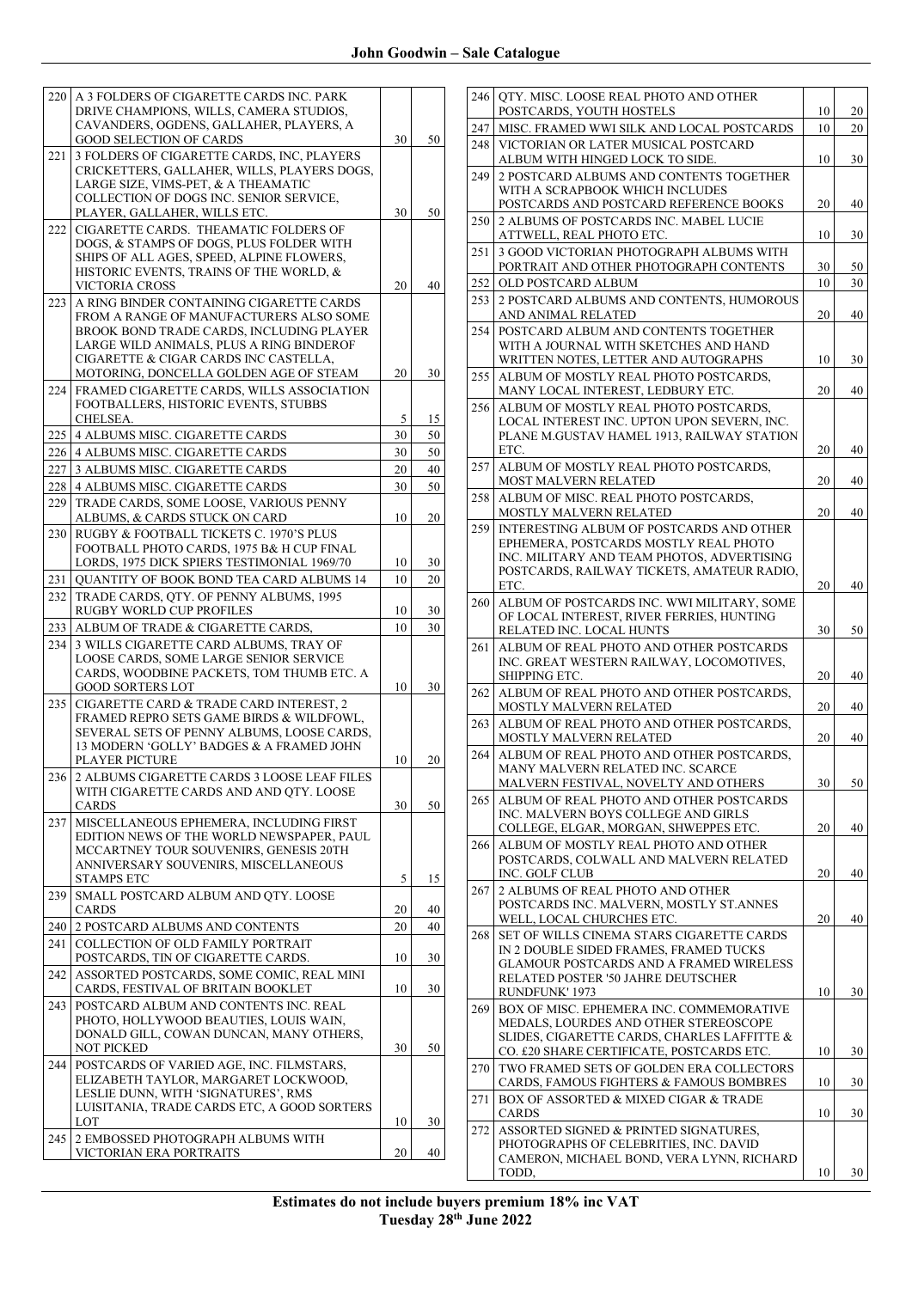| 220 | A 3 FOLDERS OF CIGARETTE CARDS INC. PARK<br>DRIVE CHAMPIONS, WILLS, CAMERA STUDIOS,                                                                                                             |    |    |
|-----|-------------------------------------------------------------------------------------------------------------------------------------------------------------------------------------------------|----|----|
|     | CAVANDERS, OGDENS, GALLAHER, PLAYERS, A<br>GOOD SELECTION OF CARDS                                                                                                                              | 30 | 50 |
| 221 | 3 FOLDERS OF CIGARETTE CARDS, INC, PLAYERS<br>CRICKETTERS, GALLAHER, WILLS, PLAYERS DOGS,                                                                                                       |    |    |
|     | LARGE SIZE, VIMS-PET, & A THEAMATIC<br>COLLECTION OF DOGS INC. SENIOR SERVICE,<br>PLAYER, GALLAHER, WILLS ETC.                                                                                  | 30 | 50 |
| 222 | CIGARETTE CARDS. THEAMATIC FOLDERS OF<br>DOGS, & STAMPS OF DOGS, PLUS FOLDER WITH                                                                                                               |    |    |
|     | SHIPS OF ALL AGES, SPEED, ALPINE FLOWERS,<br>HISTORIC EVENTS, TRAINS OF THE WORLD, &<br><b>VICTORIA CROSS</b>                                                                                   | 20 | 40 |
| 223 | A RING BINDER CONTAINING CIGARETTE CARDS<br>FROM A RANGE OF MANUFACTURERS ALSO SOME<br>BROOK BOND TRADE CARDS, INCLUDING PLAYER<br>LARGE WILD ANIMALS, PLUS A RING BINDEROF                     |    |    |
|     | CIGARETTE & CIGAR CARDS INC CASTELLA,<br>MOTORING, DONCELLA GOLDEN AGE OF STEAM<br>FRAMED CIGARETTE CARDS, WILLS ASSOCIATION                                                                    | 20 | 30 |
| 224 | FOOTBALLERS, HISTORIC EVENTS, STUBBS<br>CHELSEA.                                                                                                                                                | 5  | 15 |
| 225 | 4 ALBUMS MISC. CIGARETTE CARDS                                                                                                                                                                  | 30 | 50 |
| 226 | 4 ALBUMS MISC. CIGARETTE CARDS                                                                                                                                                                  | 30 | 50 |
| 227 | 3 ALBUMS MISC. CIGARETTE CARDS                                                                                                                                                                  | 20 | 40 |
| 228 | 4 ALBUMS MISC. CIGARETTE CARDS                                                                                                                                                                  | 30 | 50 |
| 229 | TRADE CARDS, SOME LOOSE, VARIOUS PENNY<br>ALBUMS, & CARDS STUCK ON CARD                                                                                                                         | 10 | 20 |
| 230 | RUGBY & FOOTBALL TICKETS C. 1970'S PLUS<br>FOOTBALL PHOTO CARDS, 1975 B& H CUP FINAL                                                                                                            |    |    |
|     | LORDS, 1975 DICK SPIERS TESTIMONIAL 1969/70                                                                                                                                                     | 10 | 30 |
| 231 | QUANTITY OF BOOK BOND TEA CARD ALBUMS 14                                                                                                                                                        | 10 | 20 |
| 232 | TRADE CARDS, OTY. OF PENNY ALBUMS, 1995<br>RUGBY WORLD CUP PROFILES                                                                                                                             | 10 | 30 |
| 233 | ALBUM OF TRADE & CIGARETTE CARDS,                                                                                                                                                               | 10 | 30 |
| 234 | 3 WILLS CIGARETTE CARD ALBUMS, TRAY OF<br>LOOSE CARDS, SOME LARGE SENIOR SERVICE<br>CARDS, WOODBINE PACKETS, TOM THUMB ETC. A<br><b>GOOD SORTERS LOT</b>                                        | 10 | 30 |
| 235 | CIGARETTE CARD & TRADE CARD INTEREST, 2<br>FRAMED REPRO SETS GAME BIRDS & WILDFOWL,<br>SEVERAL SETS OF PENNY ALBUMS, LOOSE CARDS,<br>13 MODERN 'GOLLY' BADGES & A FRAMED JOHN<br>PLAYER PICTURE | 10 | 20 |
| 236 | 2 ALBUMS CIGARETTE CARDS 3 LOOSE LEAF FILES<br>WITH CIGARETTE CARDS AND AND QTY. LOOSE<br><b>CARDS</b>                                                                                          | 30 | 50 |
| 237 | MISCELLANEOUS EPHEMERA, INCLUDING FIRST<br>EDITION NEWS OF THE WORLD NEWSPAPER, PAUL<br>MCCARTNEY TOUR SOUVENIRS, GENESIS 20TH<br>ANNIVERSARY SOUVENIRS, MISCELLANEOUS                          |    |    |
|     | <b>STAMPS ETC</b><br>SMALL POSTCARD ALBUM AND OTY. LOOSE                                                                                                                                        | 5  | 15 |
| 239 | <b>CARDS</b>                                                                                                                                                                                    | 20 | 40 |
| 240 | 2 POSTCARD ALBUMS AND CONTENTS                                                                                                                                                                  | 20 | 40 |
| 241 | COLLECTION OF OLD FAMILY PORTRAIT<br>POSTCARDS, TIN OF CIGARETTE CARDS.                                                                                                                         | 10 | 30 |
| 242 | ASSORTED POSTCARDS, SOME COMIC, REAL MINI<br>CARDS, FESTIVAL OF BRITAIN BOOKLET                                                                                                                 | 10 | 30 |
| 243 | POSTCARD ALBUM AND CONTENTS INC. REAL<br>PHOTO, HOLLYWOOD BEAUTIES, LOUIS WAIN,<br>DONALD GILL, COWAN DUNCAN, MANY OTHERS,<br><b>NOT PICKED</b>                                                 | 30 | 50 |
| 244 | POSTCARDS OF VARIED AGE, INC. FILMSTARS,<br>ELIZABETH TAYLOR, MARGARET LOCKWOOD,<br>LESLIE DUNN, WITH 'SIGNATURES', RMS                                                                         |    |    |
|     | LUISITANIA, TRADE CARDS ETC, A GOOD SORTERS<br>LOT                                                                                                                                              | 10 | 30 |
| 245 | 2 EMBOSSED PHOTOGRAPH ALBUMS WITH<br>VICTORIAN ERA PORTRAITS                                                                                                                                    | 20 | 40 |

| 246 | OTY. MISC. LOOSE REAL PHOTO AND OTHER<br>POSTCARDS, YOUTH HOSTELS                               | 10 | 20 |
|-----|-------------------------------------------------------------------------------------------------|----|----|
| 247 | MISC. FRAMED WWI SILK AND LOCAL POSTCARDS                                                       | 10 | 20 |
| 248 | VICTORIAN OR LATER MUSICAL POSTCARD<br>ALBUM WITH HINGED LOCK TO SIDE.                          | 10 | 30 |
| 249 | 2 POSTCARD ALBUMS AND CONTENTS TOGETHER                                                         |    |    |
|     | WITH A SCRAPBOOK WHICH INCLUDES<br>POSTCARDS AND POSTCARD REFERENCE BOOKS                       | 20 | 40 |
| 250 | 2 ALBUMS OF POSTCARDS INC. MABEL LUCIE                                                          |    |    |
|     | ATTWELL, REAL PHOTO ETC.                                                                        | 10 | 30 |
| 251 | 3 GOOD VICTORIAN PHOTOGRAPH ALBUMS WITH<br>PORTRAIT AND OTHER PHOTOGRAPH CONTENTS               | 30 | 50 |
| 252 | OLD POSTCARD ALBUM                                                                              | 10 | 30 |
| 253 | 2 POSTCARD ALBUMS AND CONTENTS, HUMOROUS<br>AND ANIMAL RELATED                                  | 20 | 40 |
| 254 | POSTCARD ALBUM AND CONTENTS TOGETHER                                                            |    |    |
|     | WITH A JOURNAL WITH SKETCHES AND HAND<br>WRITTEN NOTES, LETTER AND AUTOGRAPHS                   | 10 | 30 |
| 255 | ALBUM OF MOSTLY REAL PHOTO POSTCARDS,                                                           |    |    |
|     | MANY LOCAL INTEREST, LEDBURY ETC.<br>ALBUM OF MOSTLY REAL PHOTO POSTCARDS,                      | 20 | 40 |
| 256 | LOCAL INTEREST INC. UPTON UPON SEVERN, INC.                                                     |    |    |
|     | PLANE M.GUSTAV HAMEL 1913, RAILWAY STATION<br>ETC.                                              | 20 | 40 |
| 257 | ALBUM OF MOSTLY REAL PHOTO POSTCARDS,                                                           |    |    |
|     | MOST MALVERN RELATED                                                                            | 20 | 40 |
| 258 | ALBUM OF MISC. REAL PHOTO POSTCARDS.<br>MOSTLY MALVERN RELATED                                  | 20 | 40 |
| 259 | INTERESTING ALBUM OF POSTCARDS AND OTHER                                                        |    |    |
|     | EPHEMERA, POSTCARDS MOSTLY REAL PHOTO<br>INC. MILITARY AND TEAM PHOTOS, ADVERTISING             |    |    |
|     | POSTCARDS, RAILWAY TICKETS, AMATEUR RADIO,                                                      |    |    |
| 260 | ETC.<br>ALBUM OF POSTCARDS INC. WWI MILITARY, SOME                                              | 20 | 40 |
|     | OF LOCAL INTEREST, RIVER FERRIES, HUNTING                                                       |    |    |
| 261 | RELATED INC. LOCAL HUNTS<br>ALBUM OF REAL PHOTO AND OTHER POSTCARDS                             | 30 | 50 |
|     | INC. GREAT WESTERN RAILWAY, LOCOMOTIVES,<br>SHIPPING ETC.                                       | 20 | 40 |
| 262 | ALBUM OF REAL PHOTO AND OTHER POSTCARDS,<br>MOSTLY MALVERN RELATED                              | 20 | 40 |
| 263 | ALBUM OF REAL PHOTO AND OTHER POSTCARDS.<br>MOSTLY MALVERN RELATED                              | 20 | 40 |
| 264 | ALBUM OF REAL PHOTO AND OTHER POSTCARDS,                                                        |    |    |
|     | MANY MALVERN RELATED INC. SCARCE<br>MALVERN FESTIVAL, NOVELTY AND OTHERS                        | 30 | 50 |
| 265 | ALBUM OF REAL PHOTO AND OTHER POSTCARDS                                                         |    |    |
|     | INC. MALVERN BOYS COLLEGE AND GIRLS<br>COLLEGE, ELGAR, MORGAN, SHWEPPES ETC.                    | 20 | 40 |
| 266 | ALBUM OF MOSTLY REAL PHOTO AND OTHER                                                            |    |    |
|     | POSTCARDS, COLWALL AND MALVERN RELATED<br>INC. GOLF CLUB                                        | 20 | 40 |
| 267 | 2 ALBUMS OF REAL PHOTO AND OTHER                                                                |    |    |
|     | POSTCARDS INC. MALVERN, MOSTLY ST.ANNES<br>WELL, LOCAL CHURCHES ETC.                            | 20 | 40 |
| 268 | SET OF WILLS CINEMA STARS CIGARETTE CARDS                                                       |    |    |
|     | IN 2 DOUBLE SIDED FRAMES, FRAMED TUCKS<br>GLAMOUR POSTCARDS AND A FRAMED WIRELESS               |    |    |
|     | RELATED POSTER '50 JAHRE DEUTSCHER                                                              |    |    |
| 269 | RUNDFUNK' 1973<br>BOX OF MISC. EPHEMERA INC. COMMEMORATIVE                                      | 10 | 30 |
|     | MEDALS, LOURDES AND OTHER STEREOSCOPE                                                           |    |    |
|     | SLIDES, CIGARETTE CARDS, CHARLES LAFFITTE &<br>CO. £20 SHARE CERTIFICATE, POSTCARDS ETC.        | 10 | 30 |
| 270 | TWO FRAMED SETS OF GOLDEN ERA COLLECTORS                                                        |    |    |
| 271 | CARDS, FAMOUS FIGHTERS & FAMOUS BOMBRES<br><b>BOX OF ASSORTED &amp; MIXED CIGAR &amp; TRADE</b> | 10 | 30 |
|     | <b>CARDS</b>                                                                                    | 10 | 30 |
| 272 | ASSORTED SIGNED & PRINTED SIGNATURES,<br>PHOTOGRAPHS OF CELEBRITIES, INC. DAVID                 |    |    |
|     | CAMERON, MICHAEL BOND, VERA LYNN, RICHARD                                                       |    |    |
|     | TODD,                                                                                           | 10 | 30 |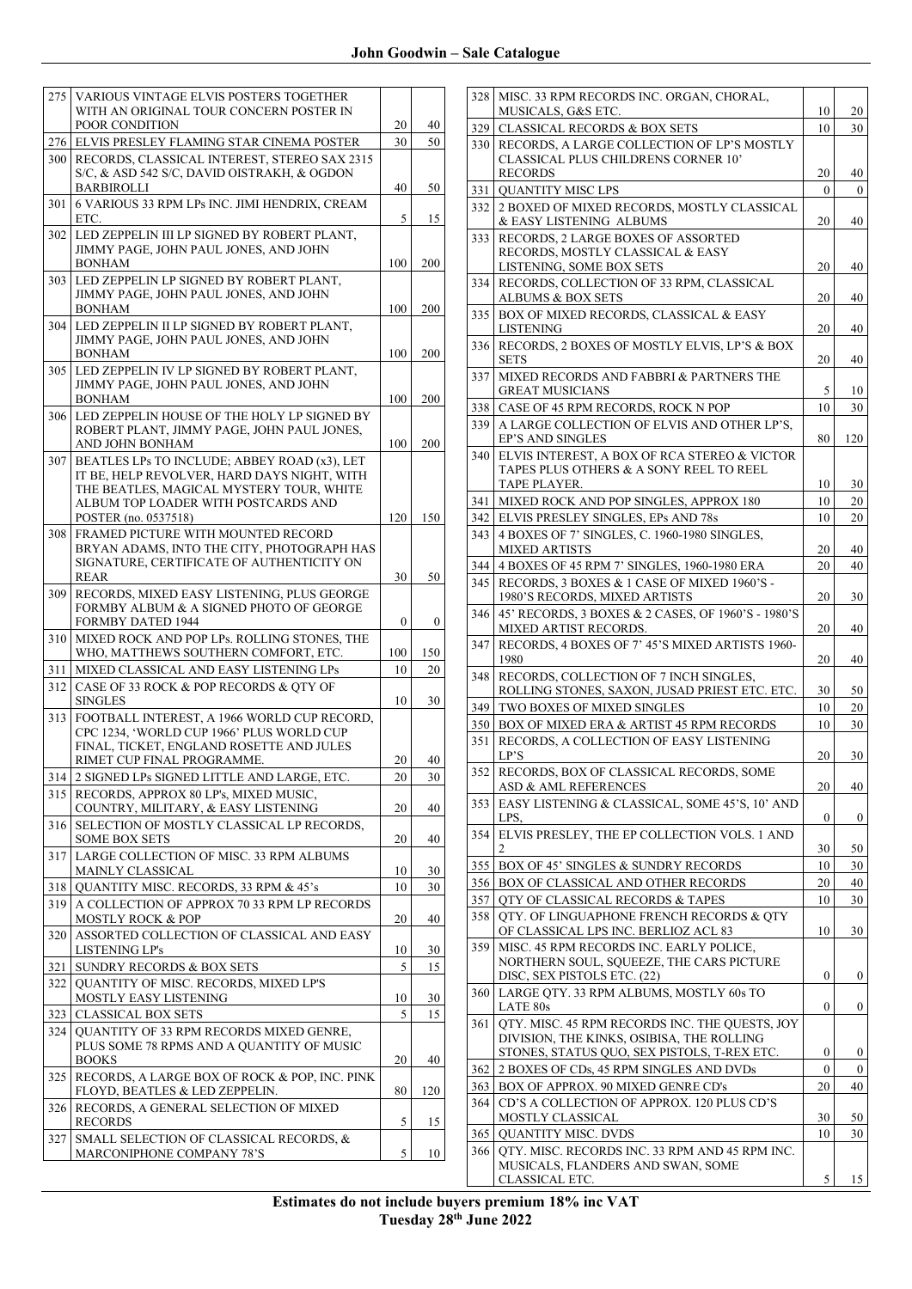| 275        | <b>VARIOUS VINTAGE ELVIS POSTERS TOGETHER</b>                                                                                                                                                          |                  |                  |
|------------|--------------------------------------------------------------------------------------------------------------------------------------------------------------------------------------------------------|------------------|------------------|
|            | WITH AN ORIGINAL TOUR CONCERN POSTER IN<br>POOR CONDITION                                                                                                                                              | 20               | 40               |
| 276        | ELVIS PRESLEY FLAMING STAR CINEMA POSTER                                                                                                                                                               | 30               | 50               |
| 300        | RECORDS, CLASSICAL INTEREST, STEREO SAX 2315<br>S/C, & ASD 542 S/C, DAVID OISTRAKH, & OGDON                                                                                                            |                  |                  |
|            | <b>BARBIROLLI</b><br>6 VARIOUS 33 RPM LPs INC. JIMI HENDRIX, CREAM                                                                                                                                     | 40               | 50               |
| 301        | ETC.                                                                                                                                                                                                   | 5                | 15               |
| 302        | LED ZEPPELIN III LP SIGNED BY ROBERT PLANT.<br>JIMMY PAGE, JOHN PAUL JONES, AND JOHN<br><b>BONHAM</b>                                                                                                  | 100              | 200              |
| 303        | LED ZEPPELIN LP SIGNED BY ROBERT PLANT,<br>JIMMY PAGE, JOHN PAUL JONES, AND JOHN<br><b>BONHAM</b>                                                                                                      | 100              | 200              |
| 304        | LED ZEPPELIN II LP SIGNED BY ROBERT PLANT,<br>JIMMY PAGE, JOHN PAUL JONES, AND JOHN<br><b>BONHAM</b>                                                                                                   | 100              | 200              |
| 305        | LED ZEPPELIN IV LP SIGNED BY ROBERT PLANT,<br>JIMMY PAGE, JOHN PAUL JONES, AND JOHN<br><b>BONHAM</b>                                                                                                   | 100              | 200              |
| 306        | LED ZEPPELIN HOUSE OF THE HOLY LP SIGNED BY<br>ROBERT PLANT, JIMMY PAGE, JOHN PAUL JONES,<br>AND JOHN BONHAM                                                                                           | 100              | 200              |
| 307        | BEATLES LPs TO INCLUDE; ABBEY ROAD (x3), LET<br>IT BE, HELP REVOLVER, HARD DAYS NIGHT, WITH<br>THE BEATLES, MAGICAL MYSTERY TOUR, WHITE<br>ALBUM TOP LOADER WITH POSTCARDS AND<br>POSTER (no. 0537518) |                  |                  |
| 308        | FRAMED PICTURE WITH MOUNTED RECORD                                                                                                                                                                     | 120              | 150              |
|            | BRYAN ADAMS, INTO THE CITY, PHOTOGRAPH HAS<br>SIGNATURE, CERTIFICATE OF AUTHENTICITY ON<br><b>REAR</b>                                                                                                 | 30               | 50               |
| 309        | RECORDS, MIXED EASY LISTENING, PLUS GEORGE                                                                                                                                                             |                  |                  |
|            | FORMBY ALBUM & A SIGNED PHOTO OF GEORGE<br>FORMBY DATED 1944                                                                                                                                           | $\boldsymbol{0}$ | $\boldsymbol{0}$ |
| 310        | MIXED ROCK AND POP LPs. ROLLING STONES, THE<br>WHO, MATTHEWS SOUTHERN COMFORT, ETC.                                                                                                                    | 100              | 150              |
| 311        | MIXED CLASSICAL AND EASY LISTENING LPs                                                                                                                                                                 | 10               | 20               |
| 312        | CASE OF 33 ROCK & POP RECORDS & QTY OF<br><b>SINGLES</b>                                                                                                                                               | 10               | 30               |
| 313        | FOOTBALL INTEREST, A 1966 WORLD CUP RECORD.<br>CPC 1234, 'WORLD CUP 1966' PLUS WORLD CUP<br>FINAL, TICKET, ENGLAND ROSETTE AND JULES                                                                   |                  |                  |
|            | RIMET CUP FINAL PROGRAMME.                                                                                                                                                                             | 20               | 40               |
| 314<br>315 | 2 SIGNED LPs SIGNED LITTLE AND LARGE, ETC.<br>RECORDS, APPROX 80 LP's, MIXED MUSIC,                                                                                                                    | 20               | 30               |
|            | COUNTRY, MILITARY, & EASY LISTENING                                                                                                                                                                    | 20               | 40               |
| 316        | SELECTION OF MOSTLY CLASSICAL LP RECORDS,<br><b>SOME BOX SETS</b>                                                                                                                                      | 20               | 40               |
| 317        | LARGE COLLECTION OF MISC. 33 RPM ALBUMS<br>MAINLY CLASSICAL                                                                                                                                            | 10               | 30               |
| 318        | QUANTITY MISC. RECORDS, 33 RPM & 45's                                                                                                                                                                  | 10               | 30               |
| 319        | A COLLECTION OF APPROX 70 33 RPM LP RECORDS<br><b>MOSTLY ROCK &amp; POP</b>                                                                                                                            | 20               | 40               |
| 320        | ASSORTED COLLECTION OF CLASSICAL AND EASY                                                                                                                                                              |                  |                  |
| 321        | LISTENING LP's<br>SUNDRY RECORDS & BOX SETS                                                                                                                                                            | 10<br>5          | 30<br>15         |
| 322        | <b>QUANTITY OF MISC. RECORDS, MIXED LP'S</b>                                                                                                                                                           |                  |                  |
| 323        | MOSTLY EASY LISTENING<br><b>CLASSICAL BOX SETS</b>                                                                                                                                                     | 10<br>5          | 30<br>15         |
| 324        | QUANTITY OF 33 RPM RECORDS MIXED GENRE,                                                                                                                                                                |                  |                  |
|            | PLUS SOME 78 RPMS AND A QUANTITY OF MUSIC<br><b>BOOKS</b>                                                                                                                                              | 20               | 40               |
| 325        | RECORDS, A LARGE BOX OF ROCK & POP, INC. PINK                                                                                                                                                          | 80               |                  |
| 326        | FLOYD, BEATLES & LED ZEPPELIN.<br>RECORDS, A GENERAL SELECTION OF MIXED                                                                                                                                |                  | 120              |
| 327        | <b>RECORDS</b><br>SMALL SELECTION OF CLASSICAL RECORDS, &                                                                                                                                              | 5                | 15               |
|            | <b>MARCONIPHONE COMPANY 78'S</b>                                                                                                                                                                       | 5                | 10               |

| 328        | MISC. 33 RPM RECORDS INC. ORGAN, CHORAL,<br>MUSICALS, G&S ETC.                                                                             | 10               | 20               |
|------------|--------------------------------------------------------------------------------------------------------------------------------------------|------------------|------------------|
| 329        | CLASSICAL RECORDS & BOX SETS                                                                                                               | 10               | 30               |
| 330        | RECORDS, A LARGE COLLECTION OF LP'S MOSTLY                                                                                                 |                  |                  |
|            | CLASSICAL PLUS CHILDRENS CORNER 10'<br><b>RECORDS</b>                                                                                      | 20               | 40               |
| 331        | <b>QUANTITY MISC LPS</b>                                                                                                                   | 0                | 0                |
| 332        | 2 BOXED OF MIXED RECORDS, MOSTLY CLASSICAL                                                                                                 |                  |                  |
|            | & EASY LISTENING ALBUMS                                                                                                                    | 20               | 40               |
| 333        | RECORDS, 2 LARGE BOXES OF ASSORTED<br>RECORDS, MOSTLY CLASSICAL & EASY<br>LISTENING, SOME BOX SETS                                         | 20               | 40               |
| 334        | RECORDS, COLLECTION OF 33 RPM, CLASSICAL<br>ALBUMS & BOX SETS                                                                              | 20               | 40               |
| 335        | BOX OF MIXED RECORDS, CLASSICAL & EASY<br><b>LISTENING</b>                                                                                 | 20               | 40               |
| 336        | RECORDS, 2 BOXES OF MOSTLY ELVIS, LP'S & BOX<br><b>SETS</b>                                                                                | 20               | 40               |
| 337        | MIXED RECORDS AND FABBRI & PARTNERS THE<br><b>GREAT MUSICIANS</b>                                                                          | 5                | 10               |
| 338        | CASE OF 45 RPM RECORDS, ROCK N POP                                                                                                         | 10               | 30               |
| 339        | A LARGE COLLECTION OF ELVIS AND OTHER LP'S,<br>EP'S AND SINGLES                                                                            | 80               | 120              |
| 340        | ELVIS INTEREST, A BOX OF RCA STEREO & VICTOR                                                                                               |                  |                  |
|            | TAPES PLUS OTHERS & A SONY REEL TO REEL<br>TAPE PLAYER.                                                                                    | 10               | 30               |
| 341        | MIXED ROCK AND POP SINGLES, APPROX 180                                                                                                     | 10               | 20               |
| 342        | ELVIS PRESLEY SINGLES, EPs AND 78s                                                                                                         | 10               | 20               |
| 343        | 4 BOXES OF 7' SINGLES, C. 1960-1980 SINGLES,<br><b>MIXED ARTISTS</b>                                                                       | 20               | 40               |
| 344        | 4 BOXES OF 45 RPM 7' SINGLES, 1960-1980 ERA                                                                                                | 20               | 40               |
| 345        | RECORDS, 3 BOXES & 1 CASE OF MIXED 1960'S -<br>1980'S RECORDS, MIXED ARTISTS                                                               | 20               | 30               |
| 346        | 45' RECORDS, 3 BOXES & 2 CASES, OF 1960'S - 1980'S<br>MIXED ARTIST RECORDS.                                                                | 20               | 40               |
| 347        | RECORDS, 4 BOXES OF 7' 45'S MIXED ARTISTS 1960-<br>1980                                                                                    | 20               | 40               |
| 348        | RECORDS, COLLECTION OF 7 INCH SINGLES,                                                                                                     |                  |                  |
|            | ROLLING STONES, SAXON, JUSAD PRIEST ETC. ETC.                                                                                              | 30               | 50               |
| 349<br>350 | TWO BOXES OF MIXED SINGLES<br>BOX OF MIXED ERA & ARTIST 45 RPM RECORDS                                                                     | 10<br>10         | 20<br>30         |
| 351        | RECORDS, A COLLECTION OF EASY LISTENING<br>LP'S                                                                                            | 20               | 30               |
|            | 352 RECORDS, BOX OF CLASSICAL RECORDS, SOME                                                                                                |                  |                  |
|            | ASD & AML REFERENCES                                                                                                                       | 20               | 40               |
| 353        | EASY LISTENING & CLASSICAL, SOME 45'S, 10' AND<br>LPS,                                                                                     | $\boldsymbol{0}$ | $\boldsymbol{0}$ |
| 354        | ELVIS PRESLEY, THE EP COLLECTION VOLS. 1 AND<br>2                                                                                          | 30               | 50               |
| 355        | BOX OF 45' SINGLES & SUNDRY RECORDS                                                                                                        | 10               | 30               |
| 356        | BOX OF CLASSICAL AND OTHER RECORDS                                                                                                         | 20               | 40               |
| 357        | QTY OF CLASSICAL RECORDS & TAPES                                                                                                           | 10               | 30               |
| 358        | QTY. OF LINGUAPHONE FRENCH RECORDS & QTY<br>OF CLASSICAL LPS INC. BERLIOZ ACL 83                                                           | 10               | 30               |
| 359        | MISC. 45 RPM RECORDS INC. EARLY POLICE,<br>NORTHERN SOUL, SQUEEZE, THE CARS PICTURE<br>DISC, SEX PISTOLS ETC. (22)                         | 0                | 0                |
| 360        | LARGE QTY. 33 RPM ALBUMS, MOSTLY 60s TO<br>LATE 80s                                                                                        | 0                | 0                |
| 361        | OTY. MISC. 45 RPM RECORDS INC. THE QUESTS, JOY<br>DIVISION, THE KINKS, OSIBISA, THE ROLLING<br>STONES, STATUS QUO, SEX PISTOLS, T-REX ETC. | 0                | 0                |
| 362        | 2 BOXES OF CDs, 45 RPM SINGLES AND DVDs                                                                                                    | $\boldsymbol{0}$ | $\mathbf{0}$     |
| 363        | BOX OF APPROX. 90 MIXED GENRE CD's                                                                                                         | 20               | 40               |
| 364        | CD'S A COLLECTION OF APPROX. 120 PLUS CD'S                                                                                                 |                  |                  |
|            | MOSTLY CLASSICAL                                                                                                                           | 30               | 50               |
| 365<br>366 | <b>QUANTITY MISC. DVDS</b><br>QTY. MISC. RECORDS INC. 33 RPM AND 45 RPM INC.                                                               | 10               | 30               |
|            | MUSICALS, FLANDERS AND SWAN, SOME                                                                                                          |                  |                  |
|            | CLASSICAL ETC.                                                                                                                             | 5                | 15               |

**Estimates do not include buyers premium 18% inc VAT Tuesday 28th June 2022**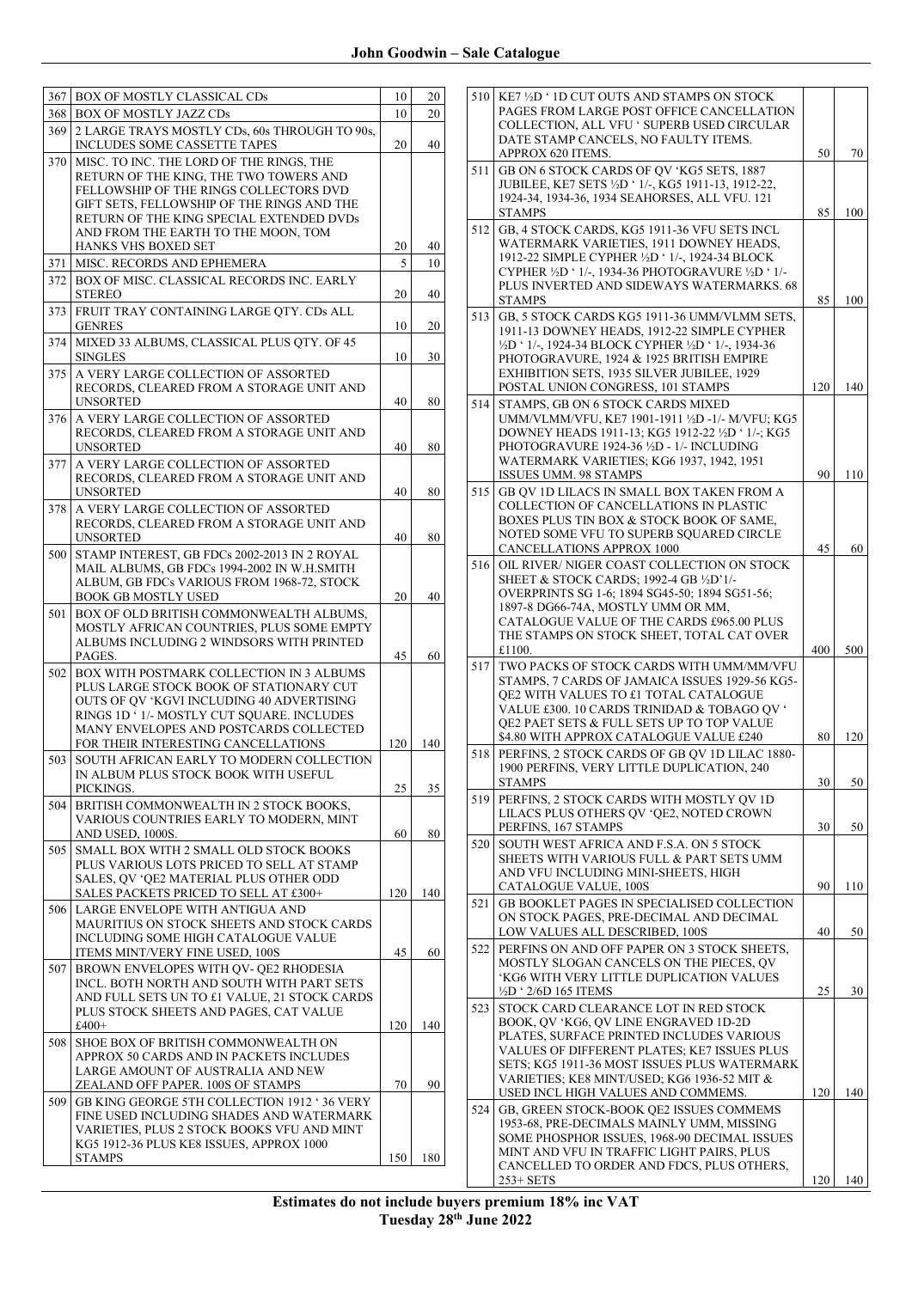| 367 | BOX OF MOSTLY CLASSICAL CDs                                                                        | 10  | 20  |
|-----|----------------------------------------------------------------------------------------------------|-----|-----|
| 368 | BOX OF MOSTLY JAZZ CDs                                                                             | 10  | 20  |
| 369 | 2 LARGE TRAYS MOSTLY CDs, 60s THROUGH TO 90s,<br>INCLUDES SOME CASSETTE TAPES                      | 20  | 40  |
| 370 | MISC. TO INC. THE LORD OF THE RINGS, THE                                                           |     |     |
|     | RETURN OF THE KING, THE TWO TOWERS AND<br>FELLOWSHIP OF THE RINGS COLLECTORS DVD                   |     |     |
|     | GIFT SETS, FELLOWSHIP OF THE RINGS AND THE                                                         |     |     |
|     | RETURN OF THE KING SPECIAL EXTENDED DVDs<br>AND FROM THE EARTH TO THE MOON, TOM                    |     |     |
|     | HANKS VHS BOXED SET                                                                                | 20  | 40  |
| 371 | MISC. RECORDS AND EPHEMERA                                                                         | 5   | 10  |
| 372 | BOX OF MISC. CLASSICAL RECORDS INC. EARLY<br><b>STEREO</b>                                         | 20  | 40  |
| 373 | FRUIT TRAY CONTAINING LARGE QTY. CDs ALL<br><b>GENRES</b>                                          | 10  | 20  |
| 374 | MIXED 33 ALBUMS, CLASSICAL PLUS QTY. OF 45<br><b>SINGLES</b>                                       | 10  | 30  |
| 375 | A VERY LARGE COLLECTION OF ASSORTED<br>RECORDS, CLEARED FROM A STORAGE UNIT AND<br><b>UNSORTED</b> | 40  | 80  |
| 376 | A VERY LARGE COLLECTION OF ASSORTED<br>RECORDS, CLEARED FROM A STORAGE UNIT AND<br><b>UNSORTED</b> | 40  | 80  |
| 377 | A VERY LARGE COLLECTION OF ASSORTED<br>RECORDS, CLEARED FROM A STORAGE UNIT AND<br><b>UNSORTED</b> | 40  | 80  |
| 378 | A VERY LARGE COLLECTION OF ASSORTED<br>RECORDS, CLEARED FROM A STORAGE UNIT AND<br><b>UNSORTED</b> | 40  | 80  |
| 500 | STAMP INTEREST, GB FDCs 2002-2013 IN 2 ROYAL                                                       |     |     |
|     | MAIL ALBUMS, GB FDCs 1994-2002 IN W.H.SMITH<br>ALBUM, GB FDCs VARIOUS FROM 1968-72, STOCK          |     |     |
|     | <b>BOOK GB MOSTLY USED</b>                                                                         | 20  | 40  |
| 501 | BOX OF OLD BRITISH COMMONWEALTH ALBUMS,                                                            |     |     |
|     | MOSTLY AFRICAN COUNTRIES, PLUS SOME EMPTY<br>ALBUMS INCLUDING 2 WINDSORS WITH PRINTED              |     |     |
|     | PAGES.                                                                                             | 45  | 60  |
| 502 | BOX WITH POSTMARK COLLECTION IN 3 ALBUMS<br>PLUS LARGE STOCK BOOK OF STATIONARY CUT                |     |     |
|     | OUTS OF OV 'KGVI INCLUDING 40 ADVERTISING                                                          |     |     |
|     | RINGS 1D '1/- MOSTLY CUT SQUARE. INCLUDES<br>MANY ENVELOPES AND POSTCARDS COLLECTED                |     |     |
|     | FOR THEIR INTERESTING CANCELLATIONS                                                                | 120 | 140 |
| 503 | SOUTH AFRICAN EARLY TO MODERN COLLECTION                                                           |     |     |
|     | IN ALBUM PLUS STOCK BOOK WITH USEFUL<br>PICKINGS.                                                  | 25  | 35  |
| 504 | BRITISH COMMONWEALTH IN 2 STOCK BOOKS,                                                             |     |     |
|     | VARIOUS COUNTRIES EARLY TO MODERN, MINT<br>AND USED, 1000S.                                        | 60  | 80  |
| 505 | SMALL BOX WITH 2 SMALL OLD STOCK BOOKS                                                             |     |     |
|     | PLUS VARIOUS LOTS PRICED TO SELL AT STAMP<br>SALES, OV 'OE2 MATERIAL PLUS OTHER ODD                |     |     |
|     | SALES PACKETS PRICED TO SELL AT £300+                                                              | 120 | 140 |
| 506 | LARGE ENVELOPE WITH ANTIGUA AND                                                                    |     |     |
|     | MAURITIUS ON STOCK SHEETS AND STOCK CARDS<br>INCLUDING SOME HIGH CATALOGUE VALUE                   |     |     |
|     | ITEMS MINT/VERY FINE USED, 100S                                                                    | 45  | 60  |
| 507 | BROWN ENVELOPES WITH OV- OE2 RHODESIA<br>INCL. BOTH NORTH AND SOUTH WITH PART SETS                 |     |     |
|     | AND FULL SETS UN TO £1 VALUE, 21 STOCK CARDS                                                       |     |     |
|     | PLUS STOCK SHEETS AND PAGES, CAT VALUE                                                             |     |     |
| 508 | £400+<br>SHOE BOX OF BRITISH COMMONWEALTH ON                                                       | 120 | 140 |
|     | APPROX 50 CARDS AND IN PACKETS INCLUDES                                                            |     |     |
|     | LARGE AMOUNT OF AUSTRALIA AND NEW<br>ZEALAND OFF PAPER. 100S OF STAMPS                             | 70  | 90  |
| 509 | GB KING GEORGE 5TH COLLECTION 1912 '36 VERY                                                        |     |     |
|     | FINE USED INCLUDING SHADES AND WATERMARK<br>VARIETIES, PLUS 2 STOCK BOOKS VFU AND MINT             |     |     |
|     | KG5 1912-36 PLUS KE8 ISSUES, APPROX 1000                                                           |     |     |
|     | STAMPS                                                                                             | 150 | 180 |

| 510 | KE7 ½D ' 1D CUT OUTS AND STAMPS ON STOCK<br>PAGES FROM LARGE POST OFFICE CANCELLATION                 |     |     |
|-----|-------------------------------------------------------------------------------------------------------|-----|-----|
|     | COLLECTION, ALL VFU ' SUPERB USED CIRCULAR<br>DATE STAMP CANCELS, NO FAULTY ITEMS.                    |     |     |
|     | APPROX 620 ITEMS.                                                                                     | 50  | 70  |
| 511 | GB ON 6 STOCK CARDS OF QV 'KG5 SETS, 1887<br>JUBILEE, KE7 SETS 1/2D ' 1/-, KG5 1911-13, 1912-22,      |     |     |
|     | 1924-34, 1934-36, 1934 SEAHORSES, ALL VFU. 121                                                        |     |     |
|     | <b>STAMPS</b><br>GB, 4 STOCK CARDS, KG5 1911-36 VFU SETS INCL                                         | 85  | 100 |
| 512 | WATERMARK VARIETIES, 1911 DOWNEY HEADS,                                                               |     |     |
|     | 1912-22 SIMPLE CYPHER 1/2D ' 1/-, 1924-34 BLOCK<br>CYPHER 1/2D ' 1/-, 1934-36 PHOTOGRAVURE 1/2D ' 1/- |     |     |
|     | PLUS INVERTED AND SIDEWAYS WATERMARKS. 68                                                             |     |     |
| 513 | <b>STAMPS</b><br>GB, 5 STOCK CARDS KG5 1911-36 UMM/VLMM SETS,                                         | 85  | 100 |
|     | 1911-13 DOWNEY HEADS, 1912-22 SIMPLE CYPHER                                                           |     |     |
|     | 1/2D ' 1/-, 1924-34 BLOCK CYPHER 1/2D ' 1/-, 1934-36<br>PHOTOGRAVURE, 1924 & 1925 BRITISH EMPIRE      |     |     |
|     | EXHIBITION SETS, 1935 SILVER JUBILEE, 1929                                                            |     |     |
| 514 | POSTAL UNION CONGRESS, 101 STAMPS<br>STAMPS, GB ON 6 STOCK CARDS MIXED                                | 120 | 140 |
|     | UMM/VLMM/VFU, KE7 1901-1911 ½D -1/- M/VFU; KG5                                                        |     |     |
|     | DOWNEY HEADS 1911-13; KG5 1912-22 1/2D ' 1/-; KG5<br>PHOTOGRAVURE 1924-36 ½D - 1/- INCLUDING          |     |     |
|     | WATERMARK VARIETIES; KG6 1937, 1942, 1951                                                             | 90  |     |
| 515 | ISSUES UMM. 98 STAMPS<br>GB QV 1D LILACS IN SMALL BOX TAKEN FROM A                                    |     | 110 |
|     | COLLECTION OF CANCELLATIONS IN PLASTIC<br>BOXES PLUS TIN BOX & STOCK BOOK OF SAME,                    |     |     |
|     | NOTED SOME VFU TO SUPERB SQUARED CIRCLE                                                               |     |     |
| 516 | CANCELLATIONS APPROX 1000<br>OIL RIVER/NIGER COAST COLLECTION ON STOCK                                | 45  | 60  |
|     | SHEET & STOCK CARDS; 1992-4 GB ½D'1/-                                                                 |     |     |
|     | OVERPRINTS SG 1-6; 1894 SG45-50; 1894 SG51-56;<br>1897-8 DG66-74A, MOSTLY UMM OR MM,                  |     |     |
|     | CATALOGUE VALUE OF THE CARDS £965.00 PLUS                                                             |     |     |
|     | THE STAMPS ON STOCK SHEET, TOTAL CAT OVER<br>£1100.                                                   | 400 | 500 |
| 517 | TWO PACKS OF STOCK CARDS WITH UMM/MM/VFU<br>STAMPS, 7 CARDS OF JAMAICA ISSUES 1929-56 KG5-            |     |     |
|     | QE2 WITH VALUES TO £1 TOTAL CATALOGUE                                                                 |     |     |
|     | VALUE £300. 10 CARDS TRINIDAD & TOBAGO QV '<br>QE2 PAET SETS & FULL SETS UP TO TOP VALUE              |     |     |
|     | \$4.80 WITH APPROX CATALOGUE VALUE £240                                                               | 80  | 120 |
| 518 | PERFINS, 2 STOCK CARDS OF GB QV 1D LILAC 1880-<br>1900 PERFINS, VERY LITTLE DUPLICATION, 240          |     |     |
|     | STAMPS                                                                                                | 30  | 50  |
| 519 | PERFINS, 2 STOCK CARDS WITH MOSTLY QV 1D<br>LILACS PLUS OTHERS OV 'OE2, NOTED CROWN                   |     |     |
|     | PERFINS, 167 STAMPS                                                                                   | 30  | 50  |
| 520 | SOUTH WEST AFRICA AND F.S.A. ON 5 STOCK<br>SHEETS WITH VARIOUS FULL & PART SETS UMM                   |     |     |
|     | AND VFU INCLUDING MINI-SHEETS, HIGH                                                                   |     |     |
| 521 | <b>CATALOGUE VALUE, 100S</b><br><b>GB BOOKLET PAGES IN SPECIALISED COLLECTION</b>                     | 90  | 110 |
|     | ON STOCK PAGES, PRE-DECIMAL AND DECIMAL                                                               | 40  | 50  |
| 522 | LOW VALUES ALL DESCRIBED, 100S<br>PERFINS ON AND OFF PAPER ON 3 STOCK SHEETS.                         |     |     |
|     | MOSTLY SLOGAN CANCELS ON THE PIECES, QV<br>'KG6 WITH VERY LITTLE DUPLICATION VALUES                   |     |     |
|     | 1/2D ' 2/6D 165 ITEMS                                                                                 | 25  | 30  |
| 523 | STOCK CARD CLEARANCE LOT IN RED STOCK<br>BOOK, QV 'KG6, QV LINE ENGRAVED 1D-2D                        |     |     |
|     | PLATES, SURFACE PRINTED INCLUDES VARIOUS                                                              |     |     |
|     | VALUES OF DIFFERENT PLATES; KE7 ISSUES PLUS<br>SETS; KG5 1911-36 MOST ISSUES PLUS WATERMARK           |     |     |
|     | VARIETIES; KE8 MINT/USED; KG6 1936-52 MIT &                                                           |     |     |
| 524 | USED INCL HIGH VALUES AND COMMEMS.<br>GB, GREEN STOCK-BOOK QE2 ISSUES COMMEMS                         | 120 | 140 |
|     | 1953-68, PRE-DECIMALS MAINLY UMM, MISSING                                                             |     |     |
|     | SOME PHOSPHOR ISSUES, 1968-90 DECIMAL ISSUES<br>MINT AND VFU IN TRAFFIC LIGHT PAIRS, PLUS             |     |     |
|     | CANCELLED TO ORDER AND FDCS, PLUS OTHERS,<br>253+ SETS                                                | 120 | 140 |
|     |                                                                                                       |     |     |

**Estimates do not include buyers premium 18% inc VAT Tuesday 28th June 2022**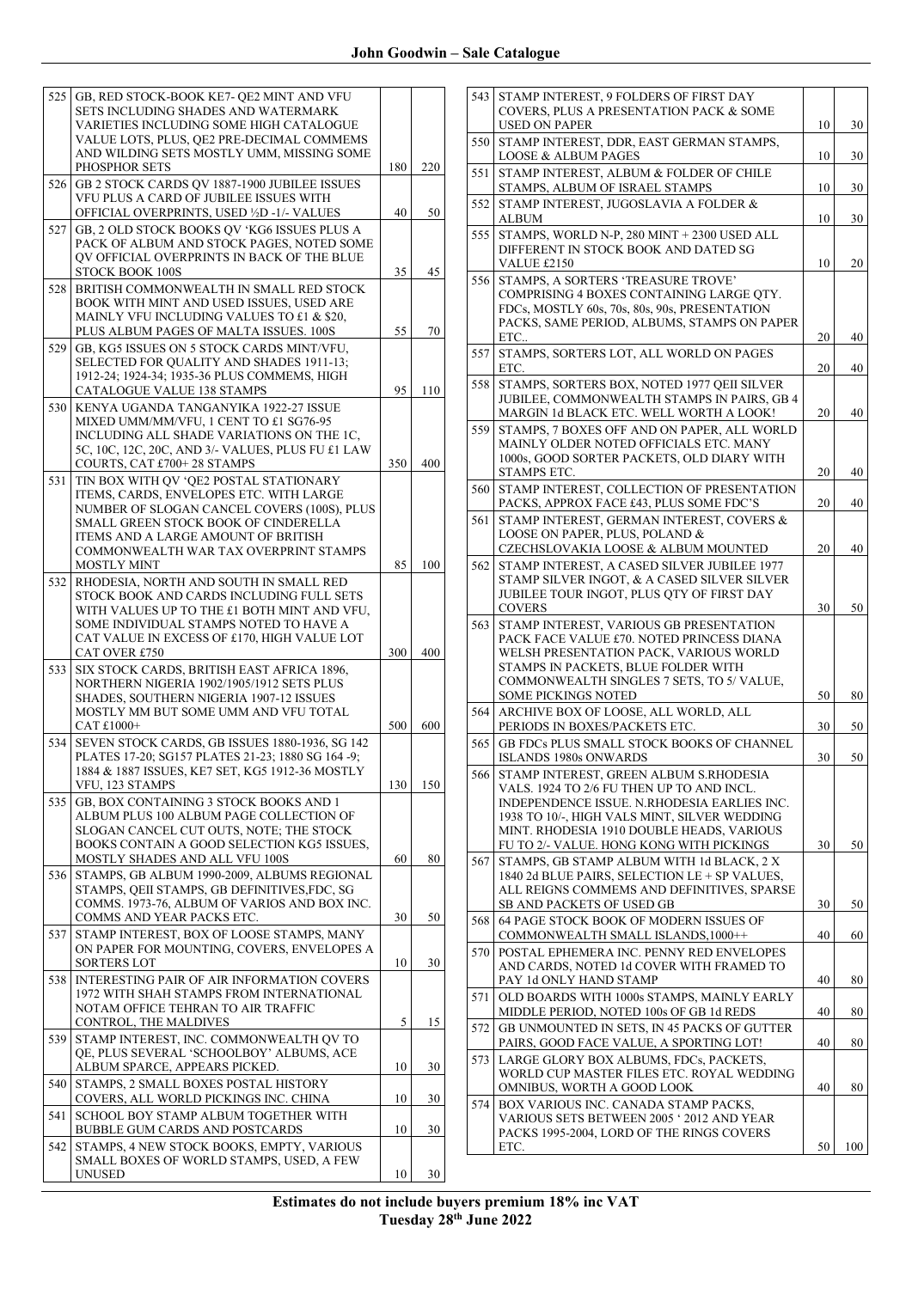| 525 | GB, RED STOCK-BOOK KE7- QE2 MINT AND VFU<br>SETS INCLUDING SHADES AND WATERMARK<br>VARIETIES INCLUDING SOME HIGH CATALOGUE<br>VALUE LOTS, PLUS, QE2 PRE-DECIMAL COMMEMS                                                    |     |     |
|-----|----------------------------------------------------------------------------------------------------------------------------------------------------------------------------------------------------------------------------|-----|-----|
|     | AND WILDING SETS MOSTLY UMM, MISSING SOME<br>PHOSPHOR SETS                                                                                                                                                                 | 180 | 220 |
| 526 | GB 2 STOCK CARDS QV 1887-1900 JUBILEE ISSUES<br>VFU PLUS A CARD OF JUBILEE ISSUES WITH<br>OFFICIAL OVERPRINTS, USED 1/2D -1/- VALUES                                                                                       | 40  | 50  |
| 527 | GB, 2 OLD STOCK BOOKS OV 'KG6 ISSUES PLUS A<br>PACK OF ALBUM AND STOCK PAGES, NOTED SOME<br>QV OFFICIAL OVERPRINTS IN BACK OF THE BLUE                                                                                     |     |     |
| 528 | <b>STOCK BOOK 100S</b><br>BRITISH COMMONWEALTH IN SMALL RED STOCK                                                                                                                                                          | 35  | 45  |
|     | BOOK WITH MINT AND USED ISSUES, USED ARE<br>MAINLY VFU INCLUDING VALUES TO £1 & \$20,<br>PLUS ALBUM PAGES OF MALTA ISSUES. 100S                                                                                            | 55  | 70  |
| 529 | GB, KG5 ISSUES ON 5 STOCK CARDS MINT/VFU.<br>SELECTED FOR QUALITY AND SHADES 1911-13;<br>1912-24; 1924-34; 1935-36 PLUS COMMEMS, HIGH                                                                                      |     |     |
|     | <b>CATALOGUE VALUE 138 STAMPS</b>                                                                                                                                                                                          | 95  | 110 |
| 530 | KENYA UGANDA TANGANYIKA 1922-27 ISSUE<br>MIXED UMM/MM/VFU, 1 CENT TO £1 SG76-95<br>INCLUDING ALL SHADE VARIATIONS ON THE 1C,<br>5C, 10C, 12C, 20C, AND 3/- VALUES, PLUS FU £1 LAW<br>COURTS, CAT £700+28 STAMPS            | 350 | 400 |
| 531 | TIN BOX WITH OV 'OE2 POSTAL STATIONARY<br>ITEMS, CARDS, ENVELOPES ETC. WITH LARGE<br>NUMBER OF SLOGAN CANCEL COVERS (100S), PLUS<br>SMALL GREEN STOCK BOOK OF CINDERELLA<br>ITEMS AND A LARGE AMOUNT OF BRITISH            |     |     |
|     | COMMONWEALTH WAR TAX OVERPRINT STAMPS<br><b>MOSTLY MINT</b>                                                                                                                                                                | 85  | 100 |
| 532 | RHODESIA, NORTH AND SOUTH IN SMALL RED<br>STOCK BOOK AND CARDS INCLUDING FULL SETS<br>WITH VALUES UP TO THE £1 BOTH MINT AND VFU,<br>SOME INDIVIDUAL STAMPS NOTED TO HAVE A<br>CAT VALUE IN EXCESS OF £170, HIGH VALUE LOT |     |     |
|     | CAT OVER £750                                                                                                                                                                                                              | 300 | 400 |
| 533 | SIX STOCK CARDS, BRITISH EAST AFRICA 1896,<br>NORTHERN NIGERIA 1902/1905/1912 SETS PLUS<br>SHADES, SOUTHERN NIGERIA 1907-12 ISSUES<br>MOSTLY MM BUT SOME UMM AND VFU TOTAL                                                 |     |     |
| 534 | CAT £1000+<br>SEVEN STOCK CARDS, GB ISSUES 1880-1936, SG 142                                                                                                                                                               | 500 | 600 |
|     | PLATES 17-20; SG157 PLATES 21-23; 1880 SG 164-9;<br>1884 & 1887 ISSUES, KE7 SET, KG5 1912-36 MOSTLY<br>VFU, 123 STAMPS                                                                                                     | 130 | 150 |
| 535 | <b>GB. BOX CONTAINING 3 STOCK BOOKS AND 1</b><br>ALBUM PLUS 100 ALBUM PAGE COLLECTION OF<br>SLOGAN CANCEL CUT OUTS, NOTE; THE STOCK<br>BOOKS CONTAIN A GOOD SELECTION KG5 ISSUES,<br>MOSTLY SHADES AND ALL VFU 100S        | 60  | 80  |
| 536 | STAMPS, GB ALBUM 1990-2009, ALBUMS REGIONAL<br>STAMPS, QEII STAMPS, GB DEFINITIVES, FDC, SG<br>COMMS. 1973-76, ALBUM OF VARIOS AND BOX INC.                                                                                |     |     |
| 537 | COMMS AND YEAR PACKS ETC.<br>STAMP INTEREST, BOX OF LOOSE STAMPS, MANY<br>ON PAPER FOR MOUNTING, COVERS, ENVELOPES A                                                                                                       | 30  | 50  |
| 538 | <b>SORTERS LOT</b><br>INTERESTING PAIR OF AIR INFORMATION COVERS                                                                                                                                                           | 10  | 30  |
|     | 1972 WITH SHAH STAMPS FROM INTERNATIONAL<br>NOTAM OFFICE TEHRAN TO AIR TRAFFIC<br>CONTROL, THE MALDIVES                                                                                                                    | 5   | 15  |
| 539 | STAMP INTEREST, INC. COMMONWEALTH OV TO<br>QE, PLUS SEVERAL 'SCHOOLBOY' ALBUMS, ACE<br>ALBUM SPARCE, APPEARS PICKED.                                                                                                       | 10  | 30  |
| 540 | STAMPS, 2 SMALL BOXES POSTAL HISTORY<br>COVERS, ALL WORLD PICKINGS INC. CHINA                                                                                                                                              | 10  | 30  |
| 541 | SCHOOL BOY STAMP ALBUM TOGETHER WITH<br>BUBBLE GUM CARDS AND POSTCARDS                                                                                                                                                     | 10  | 30  |
| 542 | STAMPS, 4 NEW STOCK BOOKS, EMPTY, VARIOUS<br>SMALL BOXES OF WORLD STAMPS, USED, A FEW                                                                                                                                      |     |     |
|     | UNUSED                                                                                                                                                                                                                     | 10  | 30  |

| 543 | STAMP INTEREST, 9 FOLDERS OF FIRST DAY<br>COVERS, PLUS A PRESENTATION PACK & SOME<br><b>USED ON PAPER</b>                                                                                                                                                                   | 10 | 30  |
|-----|-----------------------------------------------------------------------------------------------------------------------------------------------------------------------------------------------------------------------------------------------------------------------------|----|-----|
| 550 | STAMP INTEREST, DDR, EAST GERMAN STAMPS,<br>LOOSE & ALBUM PAGES                                                                                                                                                                                                             | 10 | 30  |
| 551 | STAMP INTEREST, ALBUM & FOLDER OF CHILE<br>STAMPS, ALBUM OF ISRAEL STAMPS                                                                                                                                                                                                   | 10 | 30  |
| 552 | STAMP INTEREST, JUGOSLAVIA A FOLDER &<br>ALBUM                                                                                                                                                                                                                              | 10 | 30  |
| 555 | STAMPS, WORLD N-P, 280 MINT + 2300 USED ALL<br>DIFFERENT IN STOCK BOOK AND DATED SG<br>VALUE £2150                                                                                                                                                                          | 10 | 20  |
| 556 | STAMPS, A SORTERS 'TREASURE TROVE'<br>COMPRISING 4 BOXES CONTAINING LARGE OTY.<br>FDCs, MOSTLY 60s, 70s, 80s, 90s, PRESENTATION<br>PACKS, SAME PERIOD, ALBUMS, STAMPS ON PAPER                                                                                              |    |     |
|     | ETC                                                                                                                                                                                                                                                                         | 20 | 40  |
| 557 | STAMPS, SORTERS LOT, ALL WORLD ON PAGES<br>ETC.                                                                                                                                                                                                                             | 20 | 40  |
| 558 | STAMPS, SORTERS BOX, NOTED 1977 QEII SILVER<br>JUBILEE, COMMONWEALTH STAMPS IN PAIRS, GB 4<br>MARGIN 1d BLACK ETC. WELL WORTH A LOOK!                                                                                                                                       | 20 | 40  |
| 559 | STAMPS, 7 BOXES OFF AND ON PAPER, ALL WORLD<br>MAINLY OLDER NOTED OFFICIALS ETC. MANY<br>1000s, GOOD SORTER PACKETS, OLD DIARY WITH                                                                                                                                         |    |     |
| 560 | STAMPS ETC.<br>STAMP INTEREST, COLLECTION OF PRESENTATION                                                                                                                                                                                                                   | 20 | 40  |
| 561 | PACKS, APPROX FACE £43, PLUS SOME FDC'S<br>STAMP INTEREST, GERMAN INTEREST, COVERS &                                                                                                                                                                                        | 20 | 40  |
|     | LOOSE ON PAPER, PLUS, POLAND &<br>CZECHSLOVAKIA LOOSE & ALBUM MOUNTED                                                                                                                                                                                                       | 20 | 40  |
| 562 | STAMP INTEREST, A CASED SILVER JUBILEE 1977<br>STAMP SILVER INGOT, & A CASED SILVER SILVER<br>JUBILEE TOUR INGOT, PLUS QTY OF FIRST DAY                                                                                                                                     |    |     |
| 563 | <b>COVERS</b><br>STAMP INTEREST, VARIOUS GB PRESENTATION                                                                                                                                                                                                                    | 30 | 50  |
|     | PACK FACE VALUE £70. NOTED PRINCESS DIANA<br>WELSH PRESENTATION PACK, VARIOUS WORLD<br>STAMPS IN PACKETS, BLUE FOLDER WITH                                                                                                                                                  |    |     |
|     | COMMONWEALTH SINGLES 7 SETS, TO 5/ VALUE,<br>SOME PICKINGS NOTED                                                                                                                                                                                                            | 50 | 80  |
| 564 | ARCHIVE BOX OF LOOSE, ALL WORLD, ALL<br>PERIODS IN BOXES/PACKETS ETC.                                                                                                                                                                                                       | 30 | 50  |
| 565 | GB FDCs PLUS SMALL STOCK BOOKS OF CHANNEL<br><b>ISLANDS 1980s ONWARDS</b>                                                                                                                                                                                                   | 30 | 50  |
| 566 | STAMP INTEREST, GREEN ALBUM S.RHODESIA<br>VALS. 1924 TO 2/6 FU THEN UP TO AND INCL.<br>INDEPENDENCE ISSUE. N.RHODESIA EARLIES INC.<br>1938 TO 10/-, HIGH VALS MINT, SILVER WEDDING<br>MINT. RHODESIA 1910 DOUBLE HEADS, VARIOUS<br>FU TO 2/- VALUE. HONG KONG WITH PICKINGS | 30 | 50  |
| 567 | STAMPS, GB STAMP ALBUM WITH 1d BLACK, 2 X<br>1840 2d BLUE PAIRS, SELECTION LE + SP VALUES,<br>ALL REIGNS COMMEMS AND DEFINITIVES, SPARSE<br>SB AND PACKETS OF USED GB                                                                                                       | 30 | 50  |
| 568 | 64 PAGE STOCK BOOK OF MODERN ISSUES OF<br>COMMONWEALTH SMALL ISLANDS, 1000++                                                                                                                                                                                                | 40 | 60  |
| 570 | POSTAL EPHEMERA INC. PENNY RED ENVELOPES<br>AND CARDS, NOTED 1d COVER WITH FRAMED TO<br>PAY 1d ONLY HAND STAMP                                                                                                                                                              | 40 | 80  |
| 571 | OLD BOARDS WITH 1000s STAMPS, MAINLY EARLY<br>MIDDLE PERIOD, NOTED 100s OF GB 1d REDS                                                                                                                                                                                       | 40 | 80  |
| 572 | GB UNMOUNTED IN SETS, IN 45 PACKS OF GUTTER<br>PAIRS, GOOD FACE VALUE, A SPORTING LOT!                                                                                                                                                                                      | 40 | 80  |
| 573 | LARGE GLORY BOX ALBUMS, FDCs, PACKETS,<br>WORLD CUP MASTER FILES ETC. ROYAL WEDDING<br>OMNIBUS, WORTH A GOOD LOOK                                                                                                                                                           | 40 | 80  |
| 574 | BOX VARIOUS INC. CANADA STAMP PACKS,<br>VARIOUS SETS BETWEEN 2005 ' 2012 AND YEAR<br>PACKS 1995-2004, LORD OF THE RINGS COVERS<br>ETC.                                                                                                                                      | 50 | 100 |
|     |                                                                                                                                                                                                                                                                             |    |     |